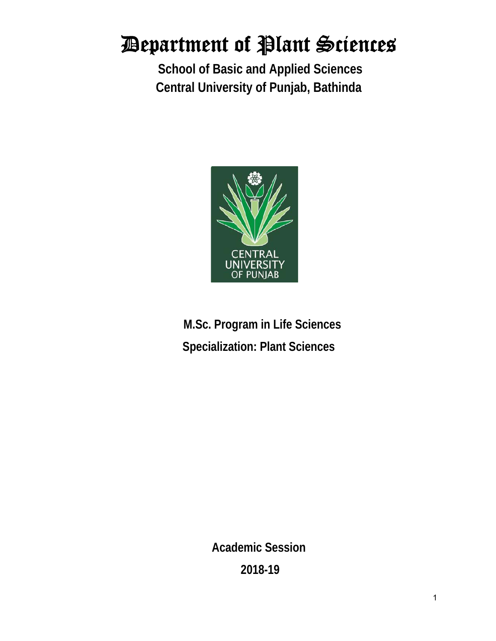**School of Basic and Applied Sciences Central University of Punjab, Bathinda** 



**M.Sc. Program in Life Sciences Specialization: Plant Sciences** 

> **Academic Session 2018-19**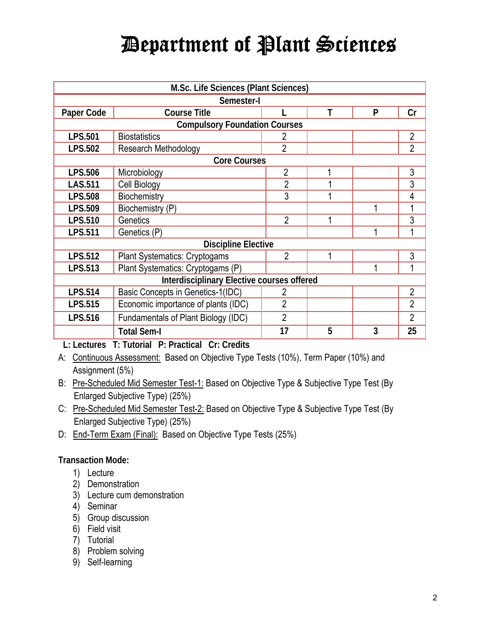| M.Sc. Life Sciences (Plant Sciences)       |                                      |                |   |   |                |
|--------------------------------------------|--------------------------------------|----------------|---|---|----------------|
| Semester-I                                 |                                      |                |   |   |                |
| Paper Code                                 | <b>Course Title</b>                  |                |   | P | Cr             |
|                                            | <b>Compulsory Foundation Courses</b> |                |   |   |                |
| <b>LPS.501</b>                             | <b>Biostatistics</b>                 | 2              |   |   | $\overline{2}$ |
| <b>LPS.502</b>                             | Research Methodology                 | $\overline{2}$ |   |   | $\overline{2}$ |
|                                            | <b>Core Courses</b>                  |                |   |   |                |
| <b>LPS.506</b>                             | Microbiology                         | $\overline{2}$ | 1 |   | 3              |
| <b>LAS.511</b>                             | <b>Cell Biology</b>                  | $\overline{2}$ |   |   | 3              |
| <b>LPS.508</b>                             | Biochemistry                         | 3              |   |   | 4              |
| LPS.509                                    | Biochemistry (P)                     |                |   | 1 |                |
| <b>LPS.510</b>                             | Genetics                             | $\overline{2}$ |   |   | 3              |
| <b>LPS.511</b>                             | Genetics (P)                         |                |   | 1 |                |
| <b>Discipline Elective</b>                 |                                      |                |   |   |                |
| <b>LPS.512</b>                             | <b>Plant Systematics: Cryptogams</b> | $\overline{2}$ |   |   | 3              |
| <b>LPS.513</b>                             | Plant Systematics: Cryptogams (P)    |                |   | 1 | 1              |
| Interdisciplinary Elective courses offered |                                      |                |   |   |                |
| <b>LPS.514</b>                             | Basic Concepts in Genetics-1(IDC)    | 2              |   |   | $\overline{2}$ |
| <b>LPS.515</b>                             | Economic importance of plants (IDC)  | $\overline{2}$ |   |   | $\overline{2}$ |
| <b>LPS.516</b>                             | Fundamentals of Plant Biology (IDC)  | $\overline{2}$ |   |   | $\overline{2}$ |
|                                            | <b>Total Sem-I</b>                   | 17             | 5 | 3 | 25             |

**L: Lectures T: Tutorial P: Practical Cr: Credits** 

- A: Continuous Assessment: Based on Objective Type Tests (10%), Term Paper (10%) and Assignment (5%)
- B: Pre-Scheduled Mid Semester Test-1: Based on Objective Type & Subjective Type Test (By Enlarged Subjective Type) (25%)
- C: Pre-Scheduled Mid Semester Test-2: Based on Objective Type & Subjective Type Test (By Enlarged Subjective Type) (25%)
- D: End-Term Exam (Final): Based on Objective Type Tests (25%)

### **Transaction Mode:**

- 1) Lecture
- 2) Demonstration
- 3) Lecture cum demonstration
- 4) Seminar
- 5) Group discussion
- 6) Field visit
- 7) Tutorial
- 8) Problem solving
- 9) Self-learning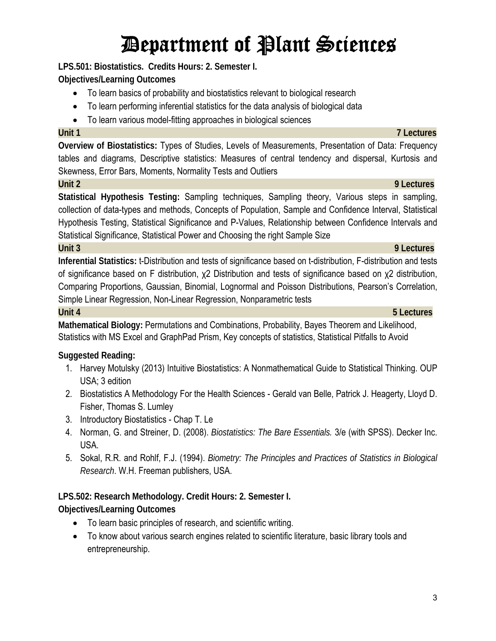**LPS.501: Biostatistics. Credits Hours: 2. Semester I.** 

**Objectives/Learning Outcomes** 

- To learn basics of probability and biostatistics relevant to biological research
- To learn performing inferential statistics for the data analysis of biological data
- To learn various model-fitting approaches in biological sciences

**Overview of Biostatistics:** Types of Studies, Levels of Measurements, Presentation of Data: Frequency tables and diagrams, Descriptive statistics: Measures of central tendency and dispersal, Kurtosis and Skewness, Error Bars, Moments, Normality Tests and Outliers

### **Unit 2 9 Lectures**

**Statistical Hypothesis Testing:** Sampling techniques, Sampling theory, Various steps in sampling, collection of data-types and methods, Concepts of Population, Sample and Confidence Interval, Statistical Hypothesis Testing, Statistical Significance and P-Values, Relationship between Confidence Intervals and Statistical Significance, Statistical Power and Choosing the right Sample Size

### **Unit 3 9 Lectures**

**Inferential Statistics:** t-Distribution and tests of significance based on t-distribution, F-distribution and tests of significance based on F distribution, χ2 Distribution and tests of significance based on χ2 distribution, Comparing Proportions, Gaussian, Binomial, Lognormal and Poisson Distributions, Pearson's Correlation, Simple Linear Regression, Non-Linear Regression, Nonparametric tests

**Mathematical Biology:** Permutations and Combinations, Probability, Bayes Theorem and Likelihood, Statistics with MS Excel and GraphPad Prism, Key concepts of statistics, Statistical Pitfalls to Avoid

### **Suggested Reading:**

- 1. Harvey Motulsky (2013) Intuitive Biostatistics: A Nonmathematical Guide to Statistical Thinking. OUP USA; 3 edition
- 2. Biostatistics A Methodology For the Health Sciences Gerald van Belle, Patrick J. Heagerty, Lloyd D. Fisher, Thomas S. Lumley
- 3. Introductory Biostatistics Chap T. Le
- 4. Norman, G. and Streiner, D. (2008). *Biostatistics: The Bare Essentials.* 3/e (with SPSS). Decker Inc. USA.
- 5. Sokal, R.R. and Rohlf, F.J. (1994). *Biometry: The Principles and Practices of Statistics in Biological Research*. W.H. Freeman publishers, USA.

## **LPS.502: Research Methodology. Credit Hours: 2. Semester I.**

**Objectives/Learning Outcomes**

- To learn basic principles of research, and scientific writing.
- To know about various search engines related to scientific literature, basic library tools and entrepreneurship.

#### **Unit 4 5 Lectures**

## **Unit 1 7 Lectures**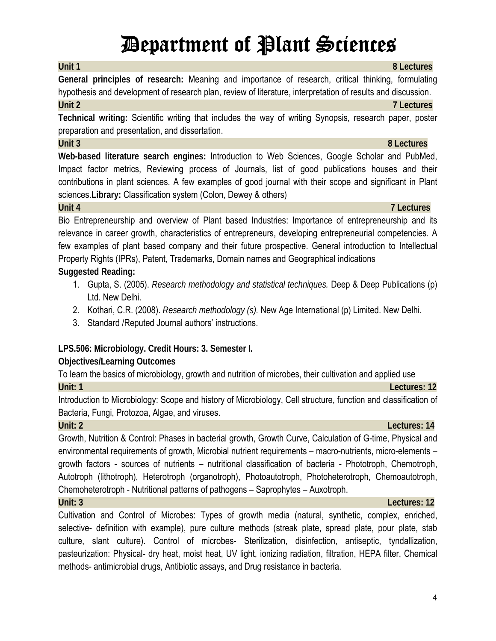**General principles of research:** Meaning and importance of research, critical thinking, formulating hypothesis and development of research plan, review of literature, interpretation of results and discussion. **Unit 2 7 Lectures**

**Unit 1 8 Lectures**

**Technical writing:** Scientific writing that includes the way of writing Synopsis, research paper, poster preparation and presentation, and dissertation.

**Web-based literature search engines:** Introduction to Web Sciences, Google Scholar and PubMed, Impact factor metrics, Reviewing process of Journals, list of good publications houses and their contributions in plant sciences. A few examples of good journal with their scope and significant in Plant sciences.**Library:** Classification system (Colon, Dewey & others)

Bio Entrepreneurship and overview of Plant based Industries: Importance of entrepreneurship and its relevance in career growth, characteristics of entrepreneurs, developing entrepreneurial competencies. A few examples of plant based company and their future prospective. General introduction to Intellectual Property Rights (IPRs), Patent, Trademarks, Domain names and Geographical indications

**Suggested Reading:**

- 1. Gupta, S. (2005). *Research methodology and statistical techniques.* Deep & Deep Publications (p) Ltd. New Delhi.
- 2. Kothari, C.R. (2008). *Research methodology (s).* New Age International (p) Limited. New Delhi.
- 3. Standard /Reputed Journal authors' instructions.

**LPS.506: Microbiology. Credit Hours: 3. Semester I.** 

### **Objectives/Learning Outcomes**

To learn the basics of microbiology, growth and nutrition of microbes, their cultivation and applied use **Unit: 1** Lectures: 12

Introduction to Microbiology: Scope and history of Microbiology, Cell structure, function and classification of Bacteria, Fungi, Protozoa, Algae, and viruses.

**Unit: 2 Lectures: 14** 

Growth, Nutrition & Control: Phases in bacterial growth, Growth Curve, Calculation of G-time, Physical and environmental requirements of growth, Microbial nutrient requirements – macro-nutrients, micro-elements – growth factors - sources of nutrients – nutritional classification of bacteria - Phototroph, Chemotroph, Autotroph (lithotroph), Heterotroph (organotroph), Photoautotroph, Photoheterotroph, Chemoautotroph, Chemoheterotroph - Nutritional patterns of pathogens – Saprophytes – Auxotroph.

#### **Unit: 3 Lectures: 12**

Cultivation and Control of Microbes: Types of growth media (natural, synthetic, complex, enriched, selective- definition with example), pure culture methods (streak plate, spread plate, pour plate, stab culture, slant culture). Control of microbes- Sterilization, disinfection, antiseptic, tyndallization, pasteurization: Physical- dry heat, moist heat, UV light, ionizing radiation, filtration, HEPA filter, Chemical methods- antimicrobial drugs, Antibiotic assays, and Drug resistance in bacteria.

#### **Unit 4 7 Lectures**

**Unit 3 8 Lectures**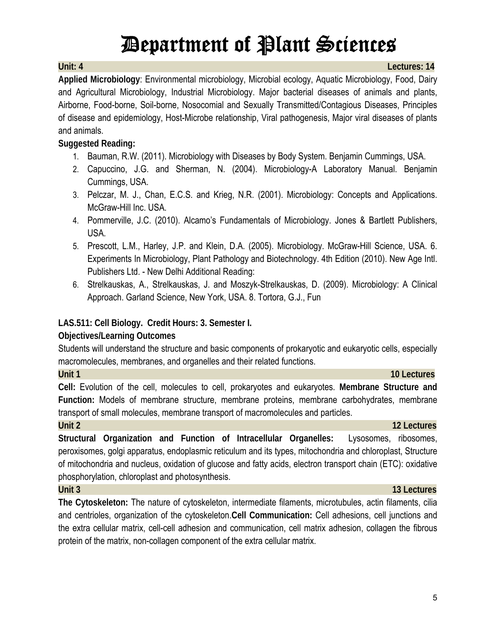**Unit: 4 Lectures: 14** 

**Applied Microbiology**: Environmental microbiology, Microbial ecology, Aquatic Microbiology, Food, Dairy and Agricultural Microbiology, Industrial Microbiology. Major bacterial diseases of animals and plants, Airborne, Food-borne, Soil-borne, Nosocomial and Sexually Transmitted/Contagious Diseases, Principles of disease and epidemiology, Host-Microbe relationship, Viral pathogenesis, Major viral diseases of plants and animals.

### **Suggested Reading:**

- 1. Bauman, R.W. (2011). Microbiology with Diseases by Body System. Benjamin Cummings, USA.
- 2. Capuccino, J.G. and Sherman, N. (2004). Microbiology-A Laboratory Manual. Benjamin Cummings, USA.
- 3. Pelczar, M. J., Chan, E.C.S. and Krieg, N.R. (2001). Microbiology: Concepts and Applications. McGraw-Hill Inc. USA.
- 4. Pommerville, J.C. (2010). Alcamo's Fundamentals of Microbiology. Jones & Bartlett Publishers, USA.
- 5. Prescott, L.M., Harley, J.P. and Klein, D.A. (2005). Microbiology. McGraw-Hill Science, USA. 6. Experiments In Microbiology, Plant Pathology and Biotechnology. 4th Edition (2010). New Age Intl. Publishers Ltd. - New Delhi Additional Reading:
- 6. Strelkauskas, A., Strelkauskas, J. and Moszyk-Strelkauskas, D. (2009). Microbiology: A Clinical Approach. Garland Science, New York, USA. 8. Tortora, G.J., Fun

### **LAS.511: Cell Biology. Credit Hours: 3. Semester I.**

#### **Objectives/Learning Outcomes**

Students will understand the structure and basic components of prokaryotic and eukaryotic cells, especially macromolecules, membranes, and organelles and their related functions.

| Unit 1                                                                                             | <b>10 Lectures</b> |  |  |  |  |
|----------------------------------------------------------------------------------------------------|--------------------|--|--|--|--|
| Cell: Evolution of the cell, molecules to cell, prokaryotes and eukaryotes. Membrane Structure and |                    |  |  |  |  |
| Function: Models of membrane structure, membrane proteins, membrane carbohydrates, membrane        |                    |  |  |  |  |
| transport of small molecules, membrane transport of macromolecules and particles.                  |                    |  |  |  |  |

**Unit 2** 12 Lectures

**Structural Organization and Function of Intracellular Organelles:** Lysosomes, ribosomes, peroxisomes, golgi apparatus, endoplasmic reticulum and its types, mitochondria and chloroplast, Structure of mitochondria and nucleus, oxidation of glucose and fatty acids, electron transport chain (ETC): oxidative phosphorylation, chloroplast and photosynthesis.

#### **Unit 3 13 Lectures**

**The Cytoskeleton:** The nature of cytoskeleton, intermediate filaments, microtubules, actin filaments, cilia and centrioles, organization of the cytoskeleton.**Cell Communication:** Cell adhesions, cell junctions and the extra cellular matrix, cell-cell adhesion and communication, cell matrix adhesion, collagen the fibrous protein of the matrix, non-collagen component of the extra cellular matrix.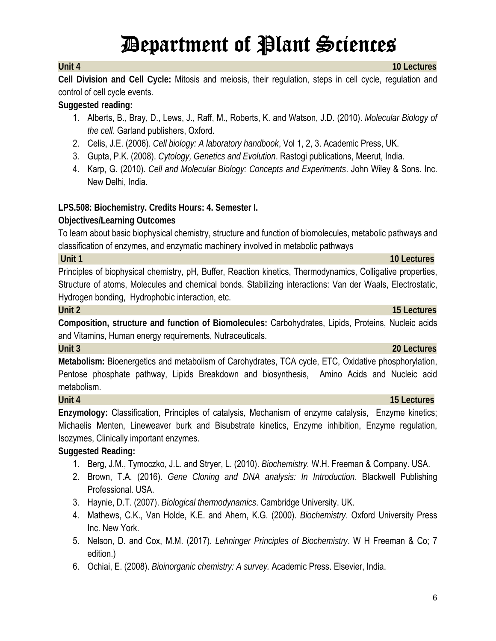**Cell Division and Cell Cycle:** Mitosis and meiosis, their regulation, steps in cell cycle, regulation and control of cell cycle events.

### **Suggested reading:**

- 1. Alberts, B., Bray, D., Lews, J., Raff, M., Roberts, K. and Watson, J.D. (2010). *Molecular Biology of the cell*. Garland publishers, Oxford.
- 2. Celis, J.E. (2006). *Cell biology: A laboratory handbook*, Vol 1, 2, 3. Academic Press, UK.
- 3. Gupta, P.K. (2008). *Cytology, Genetics and Evolution*. Rastogi publications, Meerut, India.
- 4. Karp, G. (2010). *Cell and Molecular Biology: Concepts and Experiments*. John Wiley & Sons. Inc. New Delhi, India.

### **LPS.508: Biochemistry. Credits Hours: 4. Semester I.**

### **Objectives/Learning Outcomes**

To learn about basic biophysical chemistry, structure and function of biomolecules, metabolic pathways and classification of enzymes, and enzymatic machinery involved in metabolic pathways

**Unit 1 10 Lectures** 

Principles of biophysical chemistry, pH, Buffer, Reaction kinetics, Thermodynamics, Colligative properties, Structure of atoms, Molecules and chemical bonds. Stabilizing interactions: Van der Waals, Electrostatic, Hydrogen bonding, Hydrophobic interaction, etc.

**Composition, structure and function of Biomolecules:** Carbohydrates, Lipids, Proteins, Nucleic acids and Vitamins, Human energy requirements, Nutraceuticals.

**Metabolism:** Bioenergetics and metabolism of Carohydrates, TCA cycle, ETC, Oxidative phosphorylation, Pentose phosphate pathway, Lipids Breakdown and biosynthesis, Amino Acids and Nucleic acid metabolism.

### **Unit 4 15 Lectures**

**Enzymology:** Classification, Principles of catalysis, Mechanism of enzyme catalysis, Enzyme kinetics; Michaelis Menten, Lineweaver burk and Bisubstrate kinetics, Enzyme inhibition, Enzyme regulation, Isozymes, Clinically important enzymes.

## **Suggested Reading:**

- 1. Berg, J.M., Tymoczko, J.L. and Stryer, L. (2010). *Biochemistry.* W.H. Freeman & Company. USA.
- 2. Brown, T.A. (2016). *Gene Cloning and DNA analysis: In Introduction*. Blackwell Publishing Professional. USA.
- 3. Haynie, D.T. (2007). *Biological thermodynamics*. Cambridge University. UK.
- 4. Mathews, C.K., Van Holde, K.E. and Ahern, K.G. (2000). *Biochemistry*. Oxford University Press Inc. New York.
- 5. Nelson, D. and Cox, M.M. (2017). *Lehninger Principles of Biochemistry*. W H Freeman & Co; 7 edition.)
- 6. Ochiai, E. (2008). *Bioinorganic chemistry: A survey.* Academic Press. Elsevier, India.

### **Unit 2 15 Lectures**

### **Unit 3 20 Lectures**

#### **Unit 4 10 Lectures**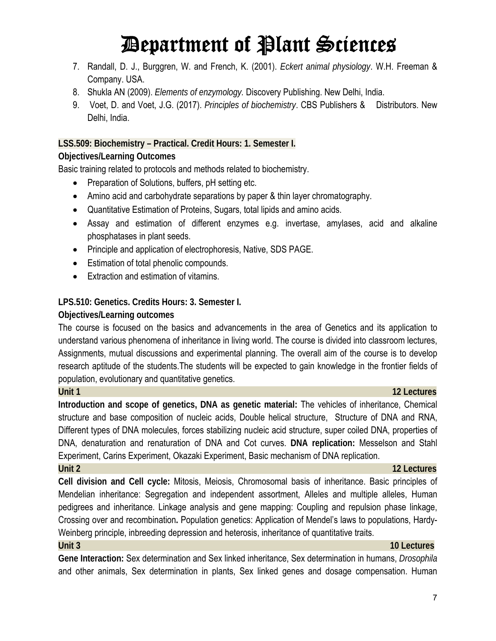- 7. Randall, D. J., Burggren, W. and French, K. (2001). *Eckert animal physiology*. W.H. Freeman & Company. USA.
- 8. Shukla AN (2009). *Elements of enzymology.* Discovery Publishing. New Delhi, India.
- 9. Voet, D. and Voet, J.G. (2017). *Principles of biochemistry*. CBS Publishers & Distributors. New Delhi, India.

#### **LSS.509: Biochemistry – Practical. Credit Hours: 1. Semester I.**

#### **Objectives/Learning Outcomes**

Basic training related to protocols and methods related to biochemistry.

- Preparation of Solutions, buffers, pH setting etc.
- Amino acid and carbohydrate separations by paper & thin layer chromatography.
- Quantitative Estimation of Proteins, Sugars, total lipids and amino acids.
- Assay and estimation of different enzymes e.g. invertase, amylases, acid and alkaline phosphatases in plant seeds.
- Principle and application of electrophoresis, Native, SDS PAGE.
- **Estimation of total phenolic compounds.**
- Extraction and estimation of vitamins.

#### **LPS.510: Genetics. Credits Hours: 3. Semester I.**

#### **Objectives/Learning outcomes**

The course is focused on the basics and advancements in the area of Genetics and its application to understand various phenomena of inheritance in living world. The course is divided into classroom lectures, Assignments, mutual discussions and experimental planning. The overall aim of the course is to develop research aptitude of the students.The students will be expected to gain knowledge in the frontier fields of population, evolutionary and quantitative genetics.

**Introduction and scope of genetics, DNA as genetic material:** The vehicles of inheritance, Chemical structure and base composition of nucleic acids, Double helical structure, Structure of DNA and RNA, Different types of DNA molecules, forces stabilizing nucleic acid structure, super coiled DNA, properties of DNA, denaturation and renaturation of DNA and Cot curves. **DNA replication:** Messelson and Stahl Experiment, Carins Experiment, Okazaki Experiment, Basic mechanism of DNA replication.

#### **Unit 2 12 Lectures**

**Cell division and Cell cycle:** Mitosis, Meiosis, Chromosomal basis of inheritance. Basic principles of Mendelian inheritance: Segregation and independent assortment, Alleles and multiple alleles, Human pedigrees and inheritance. Linkage analysis and gene mapping: Coupling and repulsion phase linkage, Crossing over and recombination**.** Population genetics: Application of Mendel's laws to populations, Hardy-Weinberg principle, inbreeding depression and heterosis, inheritance of quantitative traits.

**Gene Interaction:** Sex determination and Sex linked inheritance, Sex determination in humans, *Drosophila*  and other animals, Sex determination in plants, Sex linked genes and dosage compensation. Human

### **Unit 1 12 Lectures**

### **Unit 3 10 Lectures**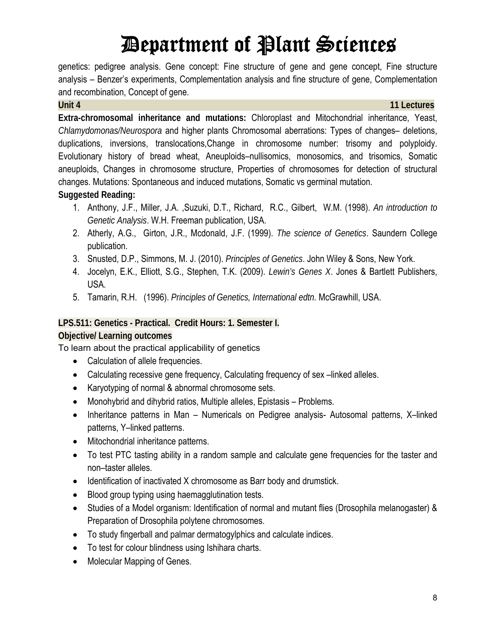genetics: pedigree analysis. Gene concept: Fine structure of gene and gene concept, Fine structure analysis – Benzer's experiments, Complementation analysis and fine structure of gene, Complementation and recombination, Concept of gene.

**Unit 4 11 Lectures**

**Extra-chromosomal inheritance and mutations:** Chloroplast and Mitochondrial inheritance, Yeast, *Chlamydomonas/Neurospora* and higher plants Chromosomal aberrations: Types of changes– deletions, duplications, inversions, translocations,Change in chromosome number: trisomy and polyploidy. Evolutionary history of bread wheat, Aneuploids–nullisomics, monosomics, and trisomics, Somatic aneuploids, Changes in chromosome structure, Properties of chromosomes for detection of structural changes. Mutations: Spontaneous and induced mutations, Somatic vs germinal mutation. **Suggested Reading:**

- 1. Anthony, J.F., Miller, J.A. ,Suzuki, D.T., Richard, R.C., Gilbert, W.M. (1998). *An introduction to Genetic Analysis*. W.H. Freeman publication, USA.
- 2. Atherly, A.G., Girton, J.R., Mcdonald, J.F. (1999). *The science of Genetics*. Saundern College publication.
- 3. Snusted, D.P., Simmons, M. J. (2010). *Principles of Genetics*. John Wiley & Sons, New York.
- 4. Jocelyn, E.K., Elliott, S.G., Stephen, T.K. (2009). *Lewin's Genes X*. Jones & Bartlett Publishers, USA.
- 5. Tamarin, R.H. (1996). *Principles of Genetics, International edtn.* McGrawhill, USA.

### **LPS.511: Genetics - Practical. Credit Hours: 1. Semester I.**

### **Objective/ Learning outcomes**

To learn about the practical applicability of genetics

- Calculation of allele frequencies.
- Calculating recessive gene frequency, Calculating frequency of sex –linked alleles.
- Karyotyping of normal & abnormal chromosome sets.
- Monohybrid and dihybrid ratios, Multiple alleles, Epistasis Problems.
- Inheritance patterns in Man Numericals on Pedigree analysis- Autosomal patterns, X-linked patterns, Y–linked patterns.
- Mitochondrial inheritance patterns.
- To test PTC tasting ability in a random sample and calculate gene frequencies for the taster and non–taster alleles.
- Identification of inactivated X chromosome as Barr body and drumstick.
- Blood group typing using haemagglutination tests.
- Studies of a Model organism: Identification of normal and mutant flies (Drosophila melanogaster) & Preparation of Drosophila polytene chromosomes.
- To study fingerball and palmar dermatogylphics and calculate indices.
- To test for colour blindness using Ishihara charts.
- Molecular Mapping of Genes.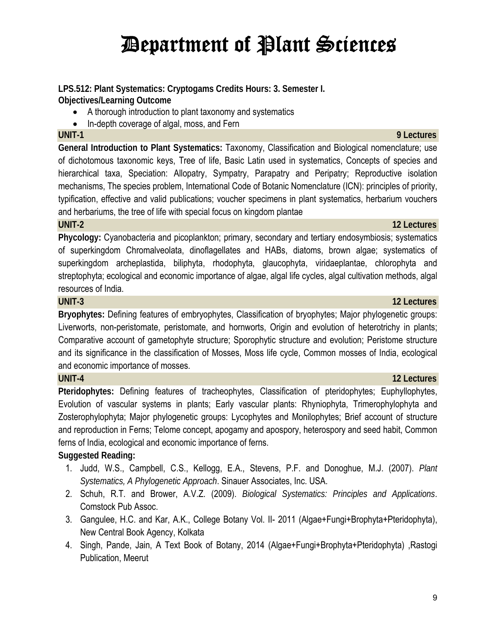#### **LPS.512: Plant Systematics: Cryptogams Credits Hours: 3. Semester I. Objectives/Learning Outcome**

- A thorough introduction to plant taxonomy and systematics
- In-depth coverage of algal, moss, and Fern

**General Introduction to Plant Systematics:** Taxonomy, Classification and Biological nomenclature; use of dichotomous taxonomic keys, Tree of life, Basic Latin used in systematics, Concepts of species and hierarchical taxa, Speciation: Allopatry, Sympatry, Parapatry and Peripatry; Reproductive isolation mechanisms, The species problem, International Code of Botanic Nomenclature (ICN): principles of priority, typification, effective and valid publications; voucher specimens in plant systematics, herbarium vouchers and herbariums, the tree of life with special focus on kingdom plantae

### **UNIT-2** 2012 **12 Lectures 12 Lectures**

**Phycology:** Cyanobacteria and picoplankton; primary, secondary and tertiary endosymbiosis; systematics of superkingdom Chromalveolata, dinoflagellates and HABs, diatoms, brown algae; systematics of superkingdom archeplastida, biliphyta, rhodophyta, glaucophyta, viridaeplantae, chlorophyta and streptophyta; ecological and economic importance of algae, algal life cycles, algal cultivation methods, algal resources of India.

### **UNIT-3 12 Lectures**

**Bryophytes:** Defining features of embryophytes, Classification of bryophytes; Major phylogenetic groups: Liverworts, non-peristomate, peristomate, and hornworts, Origin and evolution of heterotrichy in plants; Comparative account of gametophyte structure; Sporophytic structure and evolution; Peristome structure and its significance in the classification of Mosses, Moss life cycle, Common mosses of India, ecological and economic importance of mosses.

### **UNIT-4 12 Lectures**

**Pteridophytes:** Defining features of tracheophytes, Classification of pteridophytes; Euphyllophytes, Evolution of vascular systems in plants; Early vascular plants: Rhyniophyta, Trimerophylophyta and Zosterophylophyta; Major phylogenetic groups: Lycophytes and Monilophytes; Brief account of structure and reproduction in Ferns; Telome concept, apogamy and apospory, heterospory and seed habit, Common ferns of India, ecological and economic importance of ferns.

## **Suggested Reading:**

- 1. Judd, W.S., Campbell, C.S., Kellogg, E.A., Stevens, P.F. and Donoghue, M.J. (2007). *Plant Systematics, A Phylogenetic Approach*. Sinauer Associates, Inc. USA.
- 2. Schuh, R.T. and Brower, A.V.Z. (2009). *Biological Systematics: Principles and Applications*. Comstock Pub Assoc.
- 3. Gangulee, H.C. and Kar, A.K., College Botany Vol. II- 2011 (Algae+Fungi+Brophyta+Pteridophyta), New Central Book Agency, Kolkata
- 4. Singh, Pande, Jain, A Text Book of Botany, 2014 (Algae+Fungi+Brophyta+Pteridophyta) ,Rastogi Publication, Meerut

### **UNIT-1 9 Lectures**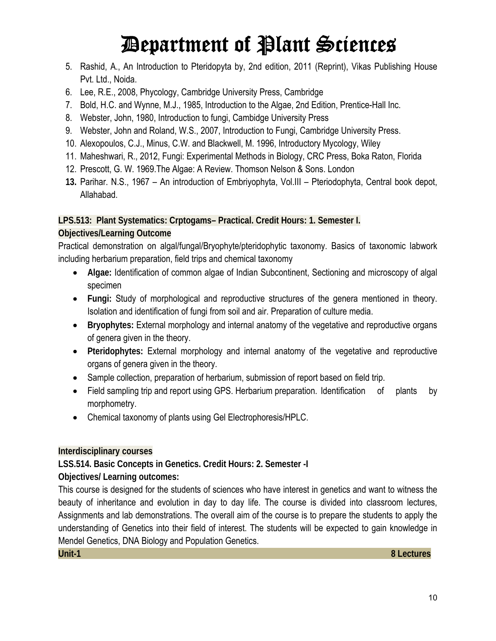- 5. Rashid, A., An Introduction to Pteridopyta by, 2nd edition, 2011 (Reprint), Vikas Publishing House Pvt. Ltd., Noida.
- 6. Lee, R.E., 2008, Phycology, Cambridge University Press, Cambridge
- 7. Bold, H.C. and Wynne, M.J., 1985, Introduction to the Algae, 2nd Edition, Prentice-Hall Inc.
- 8. Webster, John, 1980, Introduction to fungi, Cambidge University Press
- 9. Webster, John and Roland, W.S., 2007, Introduction to Fungi, Cambridge University Press.
- 10. Alexopoulos, C.J., Minus, C.W. and Blackwell, M. 1996, Introductory Mycology, Wiley
- 11. Maheshwari, R., 2012, Fungi: Experimental Methods in Biology, CRC Press, Boka Raton, Florida
- 12. Prescott, G. W. 1969.The Algae: A Review. Thomson Nelson & Sons. London
- **13.** Parihar. N.S., 1967 An introduction of Embriyophyta, Vol.III Pteriodophyta, Central book depot, Allahabad.

**LPS.513: Plant Systematics: Crptogams– Practical. Credit Hours: 1. Semester I.** 

### **Objectives/Learning Outcome**

Practical demonstration on algal/fungal/Bryophyte/pteridophytic taxonomy. Basics of taxonomic labwork including herbarium preparation, field trips and chemical taxonomy

- **Algae:** Identification of common algae of Indian Subcontinent, Sectioning and microscopy of algal specimen
- **Fungi:** Study of morphological and reproductive structures of the genera mentioned in theory. Isolation and identification of fungi from soil and air. Preparation of culture media.
- **Bryophytes:** External morphology and internal anatomy of the vegetative and reproductive organs of genera given in the theory.
- **Pteridophytes:** External morphology and internal anatomy of the vegetative and reproductive organs of genera given in the theory.
- Sample collection, preparation of herbarium, submission of report based on field trip.
- Field sampling trip and report using GPS. Herbarium preparation. Identification of plants by morphometry.
- Chemical taxonomy of plants using Gel Electrophoresis/HPLC.

### **Interdisciplinary courses**

**LSS.514. Basic Concepts in Genetics. Credit Hours: 2. Semester -I** 

**Objectives/ Learning outcomes:** 

This course is designed for the students of sciences who have interest in genetics and want to witness the beauty of inheritance and evolution in day to day life. The course is divided into classroom lectures, Assignments and lab demonstrations. The overall aim of the course is to prepare the students to apply the understanding of Genetics into their field of interest. The students will be expected to gain knowledge in Mendel Genetics, DNA Biology and Population Genetics.

**Unit-1 8 Lectures**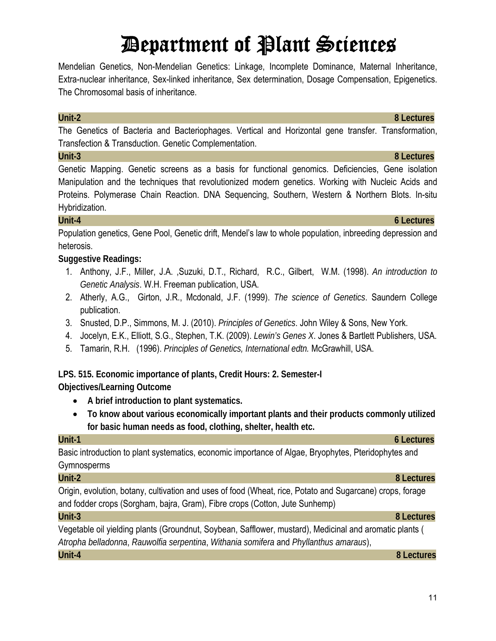Mendelian Genetics, Non-Mendelian Genetics: Linkage, Incomplete Dominance, Maternal Inheritance, Extra-nuclear inheritance, Sex-linked inheritance, Sex determination, Dosage Compensation, Epigenetics. The Chromosomal basis of inheritance.

#### **Unit-2 8 Lectures**

The Genetics of Bacteria and Bacteriophages. Vertical and Horizontal gene transfer. Transformation, Transfection & Transduction. Genetic Complementation.

### **Unit-3 8 Lectures**

Genetic Mapping. Genetic screens as a basis for functional genomics. Deficiencies, Gene isolation Manipulation and the techniques that revolutionized modern genetics. Working with Nucleic Acids and Proteins. Polymerase Chain Reaction. DNA Sequencing, Southern, Western & Northern Blots. In-situ Hybridization.

### **Unit-4 6 Lectures**

Population genetics, Gene Pool, Genetic drift, Mendel's law to whole population, inbreeding depression and heterosis.

### **Suggestive Readings:**

- 1. Anthony, J.F., Miller, J.A. ,Suzuki, D.T., Richard, R.C., Gilbert, W.M. (1998). *An introduction to Genetic Analysis*. W.H. Freeman publication, USA.
- 2. Atherly, A.G., Girton, J.R., Mcdonald, J.F. (1999). *The science of Genetics*. Saundern College publication.
- 3. Snusted, D.P., Simmons, M. J. (2010). *Principles of Genetics*. John Wiley & Sons, New York.
- 4. Jocelyn, E.K., Elliott, S.G., Stephen, T.K. (2009). *Lewin's Genes X*. Jones & Bartlett Publishers, USA.
- 5. Tamarin, R.H. (1996). *Principles of Genetics, International edtn.* McGrawhill, USA.

## **LPS. 515. Economic importance of plants, Credit Hours: 2. Semester-I**

**Objectives/Learning Outcome** 

- **A brief introduction to plant systematics.**
- **To know about various economically important plants and their products commonly utilized for basic human needs as food, clothing, shelter, health etc.**

Basic introduction to plant systematics, economic importance of Algae, Bryophytes, Pteridophytes and Gymnosperms

Origin, evolution, botany, cultivation and uses of food (Wheat, rice, Potato and Sugarcane) crops, forage and fodder crops (Sorgham, bajra, Gram), Fibre crops (Cotton, Jute Sunhemp)

### **Unit-3 8 Lectures**

Vegetable oil yielding plants (Groundnut, Soybean, Safflower, mustard), Medicinal and aromatic plants ( *Atropha belladonna*, *Rauwolfia serpentina*, *Withania somifera* and *Phyllanthus amaraus*),

**Unit-4 8 Lectures**

## **Unit-1 6 Lectures**

### **Unit-2 8 Lectures**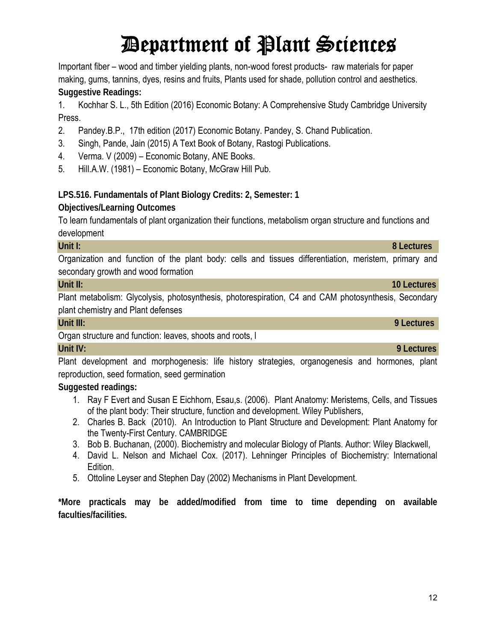Important fiber – wood and timber yielding plants, non-wood forest products- raw materials for paper making, gums, tannins, dyes, resins and fruits, Plants used for shade, pollution control and aesthetics. **Suggestive Readings:** 

1. Kochhar S. L., 5th Edition (2016) Economic Botany: A Comprehensive Study Cambridge University Press.

- 2. Pandey.B.P., 17th edition (2017) Economic Botany. Pandey, S. Chand Publication.
- 3. Singh, Pande, Jain (2015) A Text Book of Botany, Rastogi Publications.
- 4. Verma. V (2009) Economic Botany, ANE Books.
- 5. Hill.A.W. (1981) Economic Botany, McGraw Hill Pub.

## **LPS.516. Fundamentals of Plant Biology Credits: 2, Semester: 1**

## **Objectives/Learning Outcomes**

To learn fundamentals of plant organization their functions, metabolism organ structure and functions and development

**Unit I: 8 Lectures**  Organization and function of the plant body: cells and tissues differentiation, meristem, primary and secondary growth and wood formation

#### **Unit II:** 10 Lectures **10 Lectures 10 Lectures 10 Lectures 10 Lectures**

Plant metabolism: Glycolysis, photosynthesis, photorespiration, C4 and CAM photosynthesis, Secondary plant chemistry and Plant defenses

### **Unit III: 9 Lectures**

Organ structure and function: leaves, shoots and roots, l

### **Unit IV: 9 Lectures**

Plant development and morphogenesis: life history strategies, organogenesis and hormones, plant reproduction, seed formation, seed germination

**Suggested readings:**

- 1. Ray F Evert and Susan E Eichhorn, Esau,s. (2006). Plant Anatomy: Meristems, Cells, and Tissues of the plant body: Their structure, function and development. Wiley Publishers,
- 2. Charles B. Back (2010). An Introduction to Plant Structure and Development: Plant Anatomy for the Twenty-First Century. CAMBRIDGE
- 3. Bob B. Buchanan, (2000). Biochemistry and molecular Biology of Plants. Author: Wiley Blackwell,
- 4. David L. Nelson and Michael Cox. (2017). Lehninger Principles of Biochemistry: International Edition.
- 5. Ottoline Leyser and Stephen Day (2002) Mechanisms in Plant Development.

**\*More practicals may be added/modified from time to time depending on available faculties/facilities.**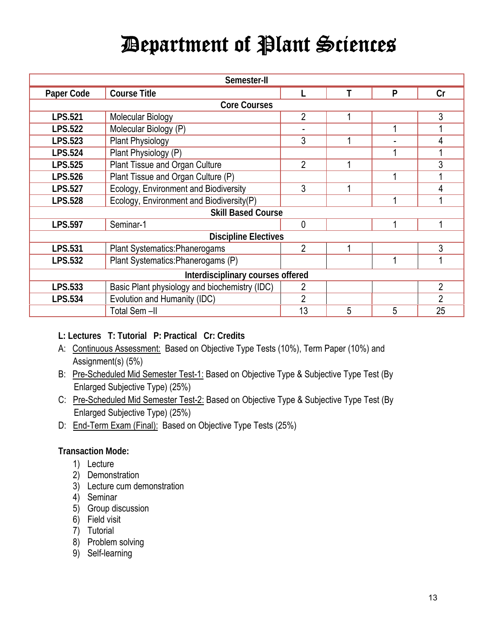| Semester-II                       |                                               |                |   |   |                |
|-----------------------------------|-----------------------------------------------|----------------|---|---|----------------|
| Paper Code                        | <b>Course Title</b>                           |                |   | P | Cr             |
|                                   | <b>Core Courses</b>                           |                |   |   |                |
| <b>LPS.521</b>                    | Molecular Biology                             | $\overline{2}$ |   |   | 3              |
| <b>LPS.522</b>                    | Molecular Biology (P)                         |                |   |   |                |
| <b>LPS.523</b>                    | <b>Plant Physiology</b>                       | 3              |   |   | 4              |
| <b>LPS.524</b>                    | Plant Physiology (P)                          |                |   |   |                |
| <b>LPS.525</b>                    | Plant Tissue and Organ Culture                | $\overline{2}$ |   |   | 3              |
| <b>LPS.526</b>                    | Plant Tissue and Organ Culture (P)            |                |   |   |                |
| <b>LPS.527</b>                    | Ecology, Environment and Biodiversity         | 3              |   |   | 4              |
| <b>LPS.528</b>                    | Ecology, Environment and Biodiversity(P)      |                |   |   |                |
| <b>Skill Based Course</b>         |                                               |                |   |   |                |
| <b>LPS.597</b>                    | Seminar-1                                     | 0              |   |   |                |
| <b>Discipline Electives</b>       |                                               |                |   |   |                |
| <b>LPS.531</b>                    | Plant Systematics: Phanerogams                | $\overline{2}$ |   |   | 3              |
| <b>LPS.532</b>                    | Plant Systematics: Phanerogams (P)            |                |   |   |                |
| Interdisciplinary courses offered |                                               |                |   |   |                |
| LPS.533                           | Basic Plant physiology and biochemistry (IDC) |                |   |   | $\overline{2}$ |
| <b>LPS.534</b>                    | Evolution and Humanity (IDC)                  | $\mathfrak{p}$ |   |   | $\overline{2}$ |
|                                   | Total Sem-II                                  | 13             | 5 | 5 | 25             |

**L: Lectures T: Tutorial P: Practical Cr: Credits**

- A: Continuous Assessment: Based on Objective Type Tests (10%), Term Paper (10%) and Assignment(s) (5%)
- B: Pre-Scheduled Mid Semester Test-1: Based on Objective Type & Subjective Type Test (By Enlarged Subjective Type) (25%)
- C: Pre-Scheduled Mid Semester Test-2: Based on Objective Type & Subjective Type Test (By Enlarged Subjective Type) (25%)
- D: End-Term Exam (Final): Based on Objective Type Tests (25%)

### **Transaction Mode:**

- 1) Lecture
- 2) Demonstration
- 3) Lecture cum demonstration
- 4) Seminar
- 5) Group discussion
- 6) Field visit
- 7) Tutorial
- 8) Problem solving
- 9) Self-learning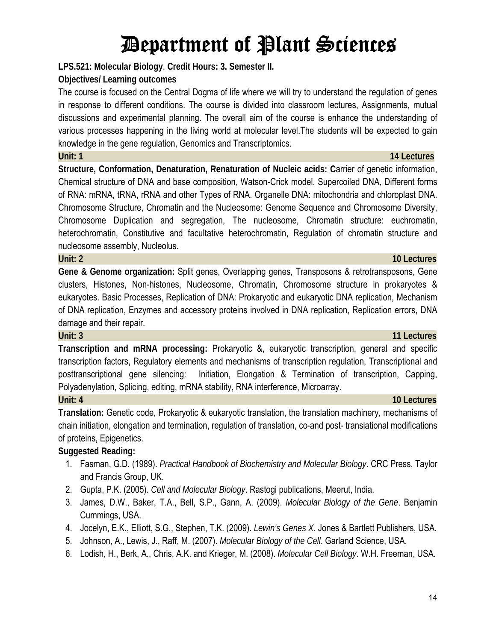**LPS.521: Molecular Biology**. **Credit Hours: 3. Semester II.** 

#### **Objectives/ Learning outcomes**

The course is focused on the Central Dogma of life where we will try to understand the regulation of genes in response to different conditions. The course is divided into classroom lectures, Assignments, mutual discussions and experimental planning. The overall aim of the course is enhance the understanding of various processes happening in the living world at molecular level.The students will be expected to gain knowledge in the gene regulation, Genomics and Transcriptomics.

**Structure, Conformation, Denaturation, Renaturation of Nucleic acids: C**arrier of genetic information, Chemical structure of DNA and base composition, Watson-Crick model, Supercoiled DNA, Different forms of RNA: mRNA, tRNA, rRNA and other Types of RNA. Organelle DNA: mitochondria and chloroplast DNA. Chromosome Structure, Chromatin and the Nucleosome: Genome Sequence and Chromosome Diversity, Chromosome Duplication and segregation, The nucleosome, Chromatin structure: euchromatin, heterochromatin, Constitutive and facultative heterochromatin, Regulation of chromatin structure and nucleosome assembly, Nucleolus.

**Unit: 2 10 Lectures**

**Gene & Genome organization:** Split genes, Overlapping genes, Transposons & retrotransposons, Gene clusters, Histones, Non-histones, Nucleosome, Chromatin, Chromosome structure in prokaryotes & eukaryotes. Basic Processes, Replication of DNA: Prokaryotic and eukaryotic DNA replication, Mechanism of DNA replication, Enzymes and accessory proteins involved in DNA replication, Replication errors, DNA damage and their repair.

#### **Unit: 3 11 Lectures**

**Transcription and mRNA processing:** Prokaryotic &, eukaryotic transcription, general and specific transcription factors, Regulatory elements and mechanisms of transcription regulation, Transcriptional and posttranscriptional gene silencing: Initiation, Elongation & Termination of transcription, Capping, Polyadenylation, Splicing, editing, mRNA stability, RNA interference, Microarray. **Unit: 4 10 Lectures**

**Translation:** Genetic code, Prokaryotic & eukaryotic translation, the translation machinery, mechanisms of chain initiation, elongation and termination, regulation of translation, co-and post- translational modifications of proteins, Epigenetics.

### **Suggested Reading:**

- 1. Fasman, G.D. (1989). *Practical Handbook of Biochemistry and Molecular Biology*. CRC Press, Taylor and Francis Group, UK.
- 2. Gupta, P.K. (2005). *Cell and Molecular Biology*. Rastogi publications, Meerut, India.
- 3. James, D.W., Baker, T.A., Bell, S.P., Gann, A. (2009). *Molecular Biology of the Gene*. Benjamin Cummings, USA.
- 4. Jocelyn, E.K., Elliott, S.G., Stephen, T.K. (2009). *Lewin's Genes X.* Jones & Bartlett Publishers, USA.
- 5. Johnson, A., Lewis, J., Raff, M. (2007). *Molecular Biology of the Cell*. Garland Science, USA.
- 6. Lodish, H., Berk, A., Chris, A.K. and Krieger, M. (2008). *Molecular Cell Biology*. W.H. Freeman, USA.

## **Unit: 1 14 Lectures**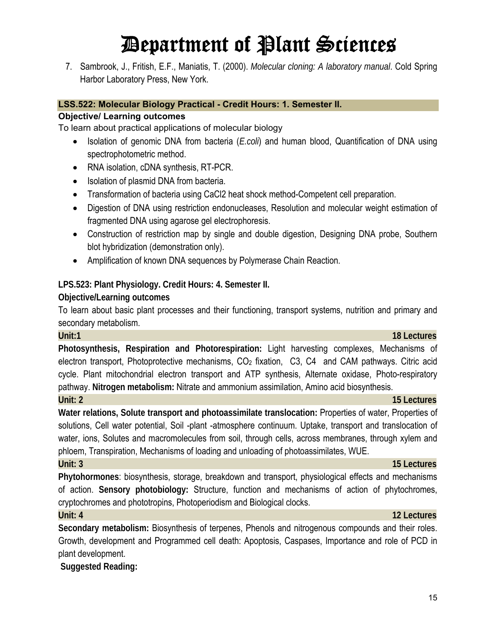7. Sambrook, J., Fritish, E.F., Maniatis, T. (2000). *Molecular cloning: A laboratory manual*. Cold Spring Harbor Laboratory Press, New York.

#### **LSS.522: Molecular Biology Practical - Credit Hours: 1. Semester II.**

#### **Objective/ Learning outcomes**

To learn about practical applications of molecular biology

- Isolation of genomic DNA from bacteria (*E.coli*) and human blood, Quantification of DNA using spectrophotometric method.
- RNA isolation, cDNA synthesis, RT-PCR.
- Isolation of plasmid DNA from bacteria.
- Transformation of bacteria using CaCl2 heat shock method-Competent cell preparation.
- Digestion of DNA using restriction endonucleases, Resolution and molecular weight estimation of fragmented DNA using agarose gel electrophoresis.
- Construction of restriction map by single and double digestion, Designing DNA probe, Southern blot hybridization (demonstration only).
- Amplification of known DNA sequences by Polymerase Chain Reaction.

#### **LPS.523: Plant Physiology. Credit Hours: 4. Semester II.**

#### **Objective/Learning outcomes**

To learn about basic plant processes and their functioning, transport systems, nutrition and primary and secondary metabolism.

**Photosynthesis, Respiration and Photorespiration:** Light harvesting complexes, Mechanisms of electron transport, Photoprotective mechanisms,  $CO<sub>2</sub>$  fixation,  $C<sub>3</sub>$ ,  $C<sub>4</sub>$  and CAM pathways. Citric acid cycle. Plant mitochondrial electron transport and ATP synthesis, Alternate oxidase, Photo-respiratory pathway. **Nitrogen metabolism:** Nitrate and ammonium assimilation, Amino acid biosynthesis. **Unit: 2 15 Lectures**

**Water relations, Solute transport and photoassimilate translocation:** Properties of water, Properties of solutions, Cell water potential, Soil -plant -atmosphere continuum. Uptake, transport and translocation of water, ions, Solutes and macromolecules from soil, through cells, across membranes, through xylem and phloem, Transpiration, Mechanisms of loading and unloading of photoassimilates, WUE.

**Phytohormones**: biosynthesis, storage, breakdown and transport, physiological effects and mechanisms of action. **Sensory photobiology:** Structure, function and mechanisms of action of phytochromes, cryptochromes and phototropins, Photoperiodism and Biological clocks.

**Secondary metabolism:** Biosynthesis of terpenes, Phenols and nitrogenous compounds and their roles. Growth, development and Programmed cell death: Apoptosis, Caspases, Importance and role of PCD in plant development.

 **Suggested Reading:**

## **Unit: 3 15 Lectures**

### **Unit: 4 12 Lectures**

#### **Unit:1 18 Lectures**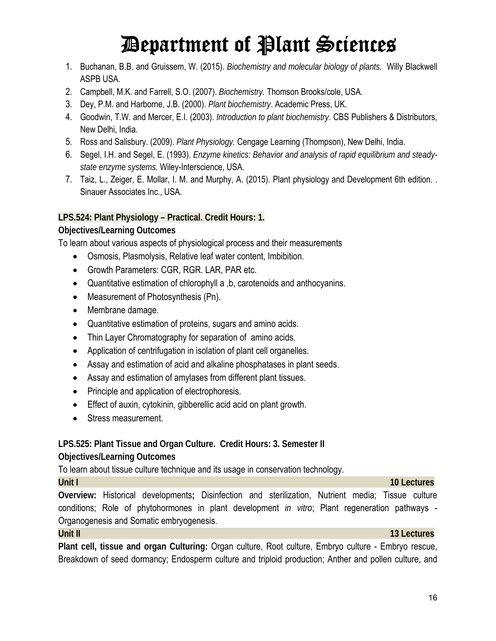- 1. Buchanan, B.B. and Gruissem, W. (2015). *Biochemistry and molecular biology of plants.* Willy Blackwell ASPB USA.
- 2. Campbell, M.K. and Farrell, S.O. (2007). *Biochemistry.* Thomson Brooks/cole, USA.
- 3. Dey, P.M. and Harborne, J.B. (2000). *Plant biochemistry*. Academic Press, UK.
- 4. Goodwin, T.W. and Mercer, E.I. (2003). *Introduction to plant biochemistry*. CBS Publishers & Distributors, New Delhi, India.
- 5. Ross and Salisbury. (2009). *Plant Physiology.* Cengage Learning (Thompson), New Delhi, India.
- 6. Segel, I.H. and Segel, E. (1993). *Enzyme kinetics: Behavior and analysis of rapid equilibrium and steadystate enzyme systems.* Wiley-Interscience, USA.
- 7. Taiz, L., Zeiger, E. Mollar, I. M. and Murphy, A. (2015). Plant physiology and Development 6th edition. . Sinauer Associates Inc., USA.

#### **LPS.524: Plant Physiology – Practical. Credit Hours: 1.**

#### **Objectives/Learning Outcomes**

To learn about various aspects of physiological process and their measurements

- Osmosis, Plasmolysis, Relative leaf water content, Imbibition.
- Growth Parameters: CGR, RGR. LAR, PAR etc.
- Quantitative estimation of chlorophyll a ,b, carotenoids and anthocyanins.
- Measurement of Photosynthesis (Pn).
- Membrane damage.
- Quantitative estimation of proteins, sugars and amino acids.
- Thin Layer Chromatography for separation of amino acids.
- Application of centrifugation in isolation of plant cell organelles.
- Assay and estimation of acid and alkaline phosphatases in plant seeds.
- Assay and estimation of amylases from different plant tissues.
- Principle and application of electrophoresis.
- Effect of auxin, cytokinin, gibberellic acid acid on plant growth.
- Stress measurement.

#### **LPS.525: Plant Tissue and Organ Culture. Credit Hours: 3. Semester II Objectives/Learning Outcomes**

To learn about tissue culture technique and its usage in conservation technology.

**Overview:** Historical developments**;** Disinfection and sterilization, Nutrient media; Tissue culture conditions; Role of phytohormones in plant development *in vitro*; Plant regeneration pathways - Organogenesis and Somatic embryogenesis.

#### **Unit II 13 Lectures**

**Plant cell, tissue and organ Culturing:** Organ culture, Root culture, Embryo culture - Embryo rescue, Breakdown of seed dormancy; Endosperm culture and triploid production; Anther and pollen culture, and

#### **Unit I 10 Lectures 10 Lectures 10 Lectures**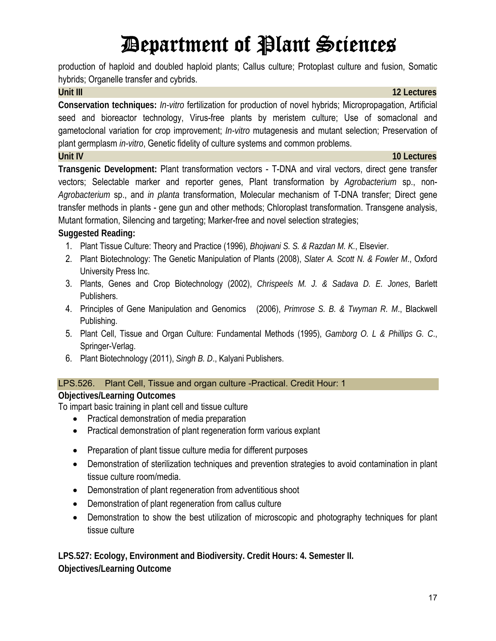production of haploid and doubled haploid plants; Callus culture; Protoplast culture and fusion, Somatic hybrids; Organelle transfer and cybrids.

#### **Unit III** 12 Lectures

**Conservation techniques:** *In-vitro* fertilization for production of novel hybrids; Micropropagation, Artificial seed and bioreactor technology, Virus-free plants by meristem culture; Use of somaclonal and gametoclonal variation for crop improvement; *In-vitro* mutagenesis and mutant selection; Preservation of plant germplasm *in-vitro*, Genetic fidelity of culture systems and common problems.

#### **Unit IV 10 Lectures**

**Transgenic Development:** Plant transformation vectors - T-DNA and viral vectors, direct gene transfer vectors; Selectable marker and reporter genes, Plant transformation by *Agrobacterium* sp., non-*Agrobacterium* sp., and *in planta* transformation, Molecular mechanism of T-DNA transfer; Direct gene transfer methods in plants - gene gun and other methods; Chloroplast transformation. Transgene analysis, Mutant formation, Silencing and targeting; Marker-free and novel selection strategies;

### **Suggested Reading:**

- 1. Plant Tissue Culture: Theory and Practice (1996)*, Bhojwani S. S. & Razdan M. K.*, Elsevier.
- 2. Plant Biotechnology: The Genetic Manipulation of Plants (2008), *Slater A. Scott N. & Fowler M*., Oxford University Press Inc.
- 3. Plants, Genes and Crop Biotechnology (2002), *Chrispeels M. J. & Sadava D. E. Jones*, Barlett Publishers.
- 4. Principles of Gene Manipulation and Genomics (2006), *Primrose S. B. & Twyman R. M*., Blackwell Publishing.
- 5. Plant Cell, Tissue and Organ Culture: Fundamental Methods (1995), *Gamborg O. L & Phillips G. C*., Springer-Verlag.
- 6. Plant Biotechnology (2011), *Singh B. D*., Kalyani Publishers.

### LPS.526. Plant Cell, Tissue and organ culture -Practical. Credit Hour: 1

### **Objectives/Learning Outcomes**

To impart basic training in plant cell and tissue culture

- Practical demonstration of media preparation
- Practical demonstration of plant regeneration form various explant
- Preparation of plant tissue culture media for different purposes
- Demonstration of sterilization techniques and prevention strategies to avoid contamination in plant tissue culture room/media.
- Demonstration of plant regeneration from adventitious shoot
- Demonstration of plant regeneration from callus culture
- Demonstration to show the best utilization of microscopic and photography techniques for plant tissue culture

**LPS.527: Ecology, Environment and Biodiversity. Credit Hours: 4. Semester II. Objectives/Learning Outcome**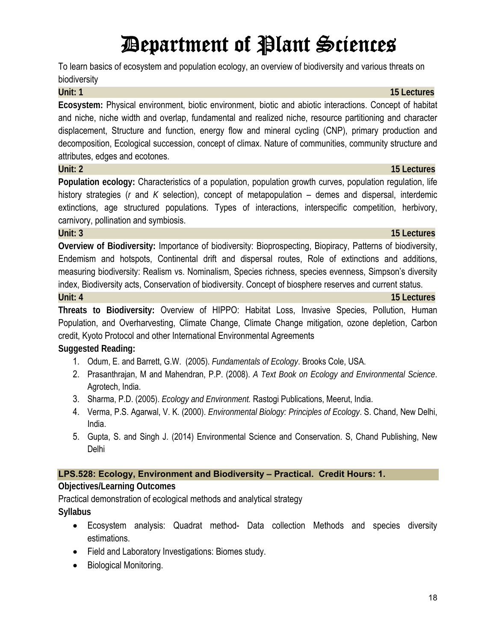To learn basics of ecosystem and population ecology, an overview of biodiversity and various threats on biodiversity

**Ecosystem:** Physical environment, biotic environment, biotic and abiotic interactions. Concept of habitat and niche, niche width and overlap, fundamental and realized niche, resource partitioning and character displacement, Structure and function, energy flow and mineral cycling (CNP), primary production and decomposition, Ecological succession, concept of climax. Nature of communities, community structure and attributes, edges and ecotones.

#### **Unit: 2 15 Lectures**

**Population ecology:** Characteristics of a population, population growth curves, population regulation, life history strategies (*r* and *K* selection), concept of metapopulation – demes and dispersal, interdemic extinctions, age structured populations. Types of interactions, interspecific competition, herbivory, carnivory, pollination and symbiosis.

**Overview of Biodiversity:** Importance of biodiversity: Bioprospecting, Biopiracy, Patterns of biodiversity, Endemism and hotspots, Continental drift and dispersal routes, Role of extinctions and additions, measuring biodiversity: Realism vs. Nominalism, Species richness, species evenness, Simpson's diversity index, Biodiversity acts, Conservation of biodiversity. Concept of biosphere reserves and current status. **Unit: 4 15 Lectures**

**Threats to Biodiversity:** Overview of HIPPO: Habitat Loss, Invasive Species, Pollution, Human Population, and Overharvesting, Climate Change, Climate Change mitigation, ozone depletion, Carbon credit, Kyoto Protocol and other International Environmental Agreements **Suggested Reading:**

- 1. Odum, E. and Barrett, G.W. (2005). *Fundamentals of Ecology*. Brooks Cole, USA.
- 2. Prasanthrajan, M and Mahendran, P.P. (2008). *A Text Book on Ecology and Environmental Science*. Agrotech, India.
- 3. Sharma, P.D. (2005). *Ecology and Environment.* Rastogi Publications, Meerut, India.
- 4. Verma, P.S. Agarwal, V. K. (2000). *Environmental Biology: Principles of Ecology*. S. Chand, New Delhi, India.
- 5. Gupta, S. and Singh J. (2014) Environmental Science and Conservation. S, Chand Publishing, New Delhi

### **LPS.528: Ecology, Environment and Biodiversity – Practical. Credit Hours: 1.**

### **Objectives/Learning Outcomes**

Practical demonstration of ecological methods and analytical strategy **Syllabus** 

- Ecosystem analysis: Quadrat method- Data collection Methods and species diversity estimations.
- Field and Laboratory Investigations: Biomes study.
- Biological Monitoring.

#### **Unit: 1 15 Lectures**

## **Unit: 3 15 Lectures**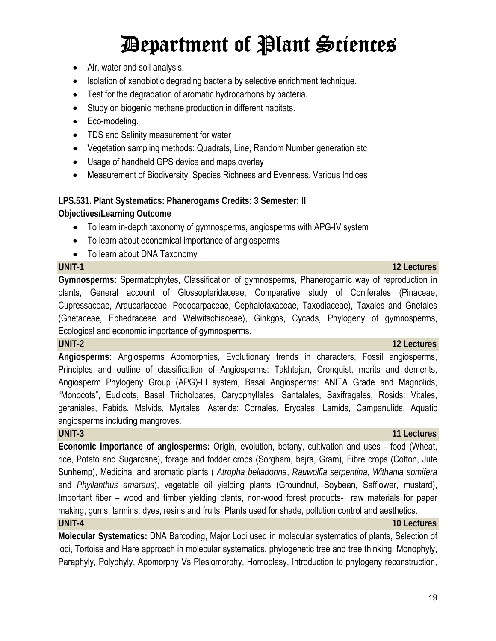- Air, water and soil analysis.
- Isolation of xenobiotic degrading bacteria by selective enrichment technique.
- Test for the degradation of aromatic hydrocarbons by bacteria.
- Study on biogenic methane production in different habitats.
- Eco-modeling.
- TDS and Salinity measurement for water
- Vegetation sampling methods: Quadrats, Line, Random Number generation etc
- Usage of handheld GPS device and maps overlay
- Measurement of Biodiversity: Species Richness and Evenness, Various Indices

**LPS.531. Plant Systematics: Phanerogams Credits: 3 Semester: II Objectives/Learning Outcome** 

- To learn in-depth taxonomy of gymnosperms, angiosperms with APG-IV system
- To learn about economical importance of angiosperms
- To learn about DNA Taxonomy

**Gymnosperms:** Spermatophytes, Classification of gymnosperms, Phanerogamic way of reproduction in plants, General account of Glossopteridaceae, Comparative study of Coniferales (Pinaceae, Cupressaceae, Araucariaceae, Podocarpaceae, Cephalotaxaceae, Taxodiaceae), Taxales and Gnetales (Gnetaceae, Ephedraceae and Welwitschiaceae), Ginkgos, Cycads, Phylogeny of gymnosperms, Ecological and economic importance of gymnosperms.

**UNIT-2 12 Lectures** 

**Angiosperms:** Angiosperms Apomorphies, Evolutionary trends in characters, Fossil angiosperms, Principles and outline of classification of Angiosperms: Takhtajan, Cronquist, merits and demerits, Angiosperm Phylogeny Group (APG)-III system, Basal Angiosperms: ANITA Grade and Magnolids, "Monocots", Eudicots, Basal Tricholpates, Caryophyllales, Santalales, Saxifragales, Rosids: Vitales, geraniales, Fabids, Malvids, Myrtales, Asterids: Cornales, Erycales, Lamids, Campanulids. Aquatic angiosperms including mangroves.

**Economic importance of angiosperms:** Origin, evolution, botany, cultivation and uses - food (Wheat, rice, Potato and Sugarcane), forage and fodder crops (Sorgham, bajra, Gram), Fibre crops (Cotton, Jute Sunhemp), Medicinal and aromatic plants ( *Atropha belladonna*, *Rauwolfia serpentina*, *Withania somifera* and *Phyllanthus amaraus*), vegetable oil yielding plants (Groundnut, Soybean, Safflower, mustard), Important fiber – wood and timber yielding plants, non-wood forest products- raw materials for paper making, gums, tannins, dyes, resins and fruits, Plants used for shade, pollution control and aesthetics. **UNIT-4 10 Lectures** 

**Molecular Systematics:** DNA Barcoding, Major Loci used in molecular systematics of plants, Selection of loci, Tortoise and Hare approach in molecular systematics, phylogenetic tree and tree thinking, Monophyly, Paraphyly, Polyphyly, Apomorphy Vs Plesiomorphy, Homoplasy, Introduction to phylogeny reconstruction,

### **UNIT-3 11 Lectures 11 Lectures**

#### 19

## **UNIT-1 12 Lectures**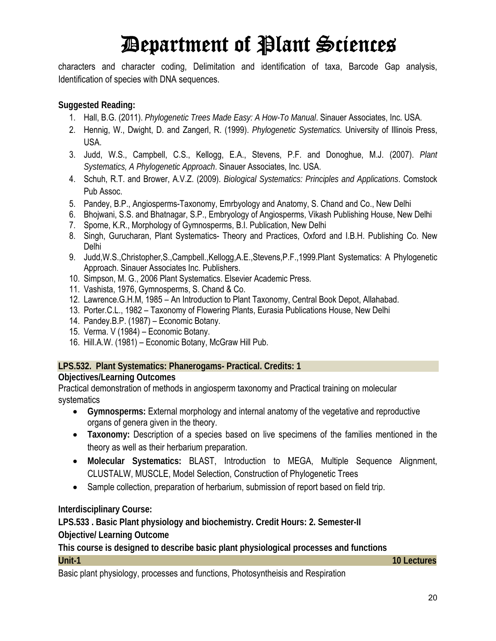characters and character coding, Delimitation and identification of taxa, Barcode Gap analysis, Identification of species with DNA sequences.

#### **Suggested Reading:**

- 1. Hall, B.G. (2011). *Phylogenetic Trees Made Easy: A How-To Manual*. Sinauer Associates, Inc. USA.
- 2. Hennig, W., Dwight, D. and Zangerl, R. (1999). *Phylogenetic Systematics.* University of Illinois Press, USA.
- 3. Judd, W.S., Campbell, C.S., Kellogg, E.A., Stevens, P.F. and Donoghue, M.J. (2007). *Plant Systematics, A Phylogenetic Approach*. Sinauer Associates, Inc. USA.
- 4. Schuh, R.T. and Brower, A.V.Z. (2009). *Biological Systematics: Principles and Applications*. Comstock Pub Assoc.
- 5. Pandey, B.P., Angiosperms-Taxonomy, Emrbyology and Anatomy, S. Chand and Co., New Delhi
- 6. Bhojwani, S.S. and Bhatnagar, S.P., Embryology of Angiosperms, Vikash Publishing House, New Delhi
- 7. Sporne, K.R., Morphology of Gymnosperms, B.I. Publication, New Delhi
- 8. Singh, Gurucharan, Plant Systematics- Theory and Practices, Oxford and I.B.H. Publishing Co. New Delhi
- 9. Judd,W.S.,Christopher,S.,Campbell.,Kellogg,A.E.,Stevens,P.F.,1999.Plant Systematics: A Phylogenetic Approach. Sinauer Associates Inc. Publishers.
- 10. Simpson, M. G., 2006 Plant Systematics. Elsevier Academic Press.
- 11. Vashista, 1976, Gymnosperms, S. Chand & Co.
- 12. Lawrence.G.H.M, 1985 An Introduction to Plant Taxonomy, Central Book Depot, Allahabad.
- 13. Porter.C.L., 1982 Taxonomy of Flowering Plants, Eurasia Publications House, New Delhi
- 14. Pandey.B.P. (1987) Economic Botany.
- 15. Verma. V (1984) Economic Botany.
- 16. Hill.A.W. (1981) Economic Botany, McGraw Hill Pub.

#### **LPS.532. Plant Systematics: Phanerogams- Practical. Credits: 1**

### **Objectives/Learning Outcomes**

Practical demonstration of methods in angiosperm taxonomy and Practical training on molecular systematics

- **Gymnosperms:** External morphology and internal anatomy of the vegetative and reproductive organs of genera given in the theory.
- **Taxonomy:** Description of a species based on live specimens of the families mentioned in the theory as well as their herbarium preparation.
- **Molecular Systematics:** BLAST, Introduction to MEGA, Multiple Sequence Alignment, CLUSTALW, MUSCLE, Model Selection, Construction of Phylogenetic Trees
- Sample collection, preparation of herbarium, submission of report based on field trip.

### **Interdisciplinary Course:**

**LPS.533 . Basic Plant physiology and biochemistry. Credit Hours: 2. Semester-II** 

**Objective/ Learning Outcome** 

**This course is designed to describe basic plant physiological processes and functions Unit-1 10 Lectures** 

Basic plant physiology, processes and functions, Photosyntheisis and Respiration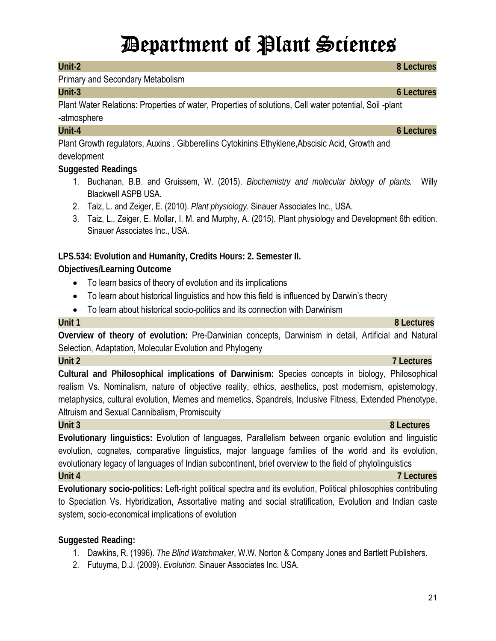#### **Unit-2 8 Lectures**

#### Primary and Secondary Metabolism

#### **Unit-3 6 Lectures**

Plant Water Relations: Properties of water, Properties of solutions, Cell water potential, Soil -plant -atmosphere

Plant Growth regulators, Auxins . Gibberellins Cytokinins Ethyklene,Abscisic Acid, Growth and development

#### **Suggested Readings**

- 1. Buchanan, B.B. and Gruissem, W. (2015). *Biochemistry and molecular biology of plants.* Willy Blackwell ASPB USA.
- 2. Taiz, L. and Zeiger, E. (2010). *Plant physiology*. Sinauer Associates Inc., USA.
- 3. Taiz, L., Zeiger, E. Mollar, I. M. and Murphy, A. (2015). Plant physiology and Development 6th edition. Sinauer Associates Inc., USA.

#### **LPS.534: Evolution and Humanity, Credits Hours: 2. Semester II.**

#### **Objectives/Learning Outcome**

- To learn basics of theory of evolution and its implications
- To learn about historical linguistics and how this field is influenced by Darwin's theory
- To learn about historical socio-politics and its connection with Darwinism

#### **Unit 1 8 Lectures**

**Overview of theory of evolution:** Pre-Darwinian concepts, Darwinism in detail, Artificial and Natural Selection, Adaptation, Molecular Evolution and Phylogeny

#### **Unit 2 7 Lectures**

**Cultural and Philosophical implications of Darwinism:** Species concepts in biology, Philosophical realism Vs. Nominalism, nature of objective reality, ethics, aesthetics, post modernism, epistemology, metaphysics, cultural evolution, Memes and memetics, Spandrels, Inclusive Fitness, Extended Phenotype, Altruism and Sexual Cannibalism, Promiscuity

#### **Unit 3 8 Lectures**

**Evolutionary linguistics:** Evolution of languages, Parallelism between organic evolution and linguistic evolution, cognates, comparative linguistics, major language families of the world and its evolution, evolutionary legacy of languages of Indian subcontinent, brief overview to the field of phylolinguistics

#### **Unit 4 7 Lectures**

**Evolutionary socio-politics:** Left-right political spectra and its evolution, Political philosophies contributing to Speciation Vs. Hybridization, Assortative mating and social stratification, Evolution and Indian caste system, socio-economical implications of evolution

#### **Suggested Reading:**

- 1. Dawkins, R. (1996). *The Blind Watchmaker*, W.W. Norton & Company Jones and Bartlett Publishers.
- 2. Futuyma, D.J. (2009). *Evolution*. Sinauer Associates Inc. USA.

## **Unit-4 6 Lectures**

21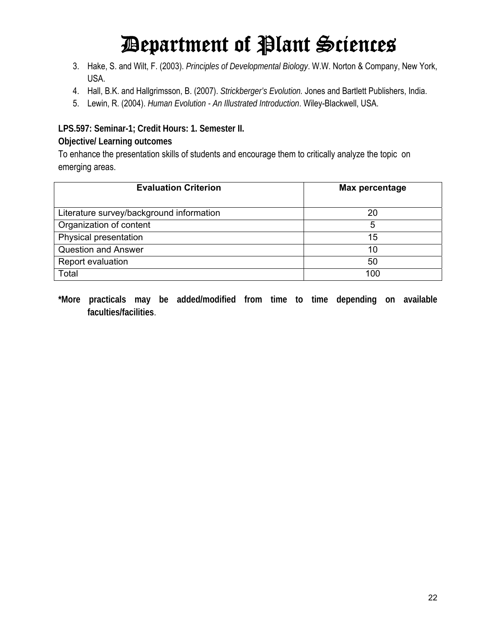- 3. Hake, S. and Wilt, F. (2003). *Principles of Developmental Biology*. W.W. Norton & Company, New York, USA.
- 4. Hall, B.K. and Hallgrimsson, B. (2007). *Strickberger's Evolution.* Jones and Bartlett Publishers, India.
- 5. Lewin, R. (2004). *Human Evolution An Illustrated Introduction*. Wiley-Blackwell, USA.

**LPS.597: Seminar-1; Credit Hours: 1. Semester II.** 

#### **Objective/ Learning outcomes**

To enhance the presentation skills of students and encourage them to critically analyze the topic on emerging areas.

| <b>Evaluation Criterion</b>              | Max percentage |  |  |
|------------------------------------------|----------------|--|--|
| Literature survey/background information | 20             |  |  |
| Organization of content                  | 5              |  |  |
| Physical presentation                    | 15             |  |  |
| <b>Question and Answer</b>               | 10             |  |  |
| Report evaluation                        | 50             |  |  |
| Total                                    | 100            |  |  |

**\*More practicals may be added/modified from time to time depending on available faculties/facilities**.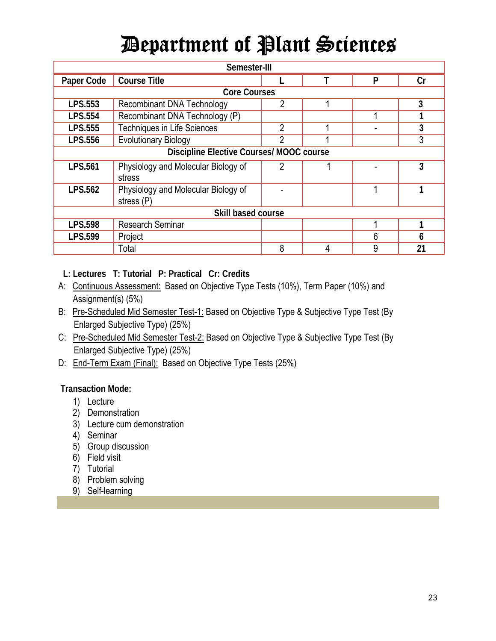| Semester-III                             |                                     |                |   |   |    |
|------------------------------------------|-------------------------------------|----------------|---|---|----|
| Paper Code                               | <b>Course Title</b>                 |                |   | P | Cr |
|                                          | <b>Core Courses</b>                 |                |   |   |    |
| <b>LPS.553</b>                           | <b>Recombinant DNA Technology</b>   | 2              |   |   | 3  |
| <b>LPS.554</b>                           | Recombinant DNA Technology (P)      |                |   |   |    |
| LPS.555                                  | <b>Techniques in Life Sciences</b>  | $\overline{2}$ |   |   | 3  |
| <b>LPS.556</b>                           | <b>Evolutionary Biology</b>         | 2              |   |   | 3  |
| Discipline Elective Courses/ MOOC course |                                     |                |   |   |    |
| <b>LPS.561</b>                           | Physiology and Molecular Biology of | $\overline{2}$ |   |   | 3  |
|                                          | stress                              |                |   |   |    |
| <b>LPS.562</b>                           | Physiology and Molecular Biology of |                |   |   |    |
|                                          | stress (P)                          |                |   |   |    |
| Skill based course                       |                                     |                |   |   |    |
| <b>LPS.598</b>                           | <b>Research Seminar</b>             |                |   |   |    |
| <b>LPS.599</b>                           | Project                             |                |   | 6 | 6  |
|                                          | Total                               | 8              | 4 | 9 | 21 |

**L: Lectures T: Tutorial P: Practical Cr: Credits**

- A: Continuous Assessment: Based on Objective Type Tests (10%), Term Paper (10%) and Assignment(s) (5%)
- B: Pre-Scheduled Mid Semester Test-1: Based on Objective Type & Subjective Type Test (By Enlarged Subjective Type) (25%)
- C: Pre-Scheduled Mid Semester Test-2: Based on Objective Type & Subjective Type Test (By Enlarged Subjective Type) (25%)
- D: End-Term Exam (Final): Based on Objective Type Tests (25%)

**Transaction Mode:** 

- 1) Lecture
- 2) Demonstration
- 3) Lecture cum demonstration
- 4) Seminar
- 5) Group discussion
- 6) Field visit
- 7) Tutorial
- 8) Problem solving
- 9) Self-learning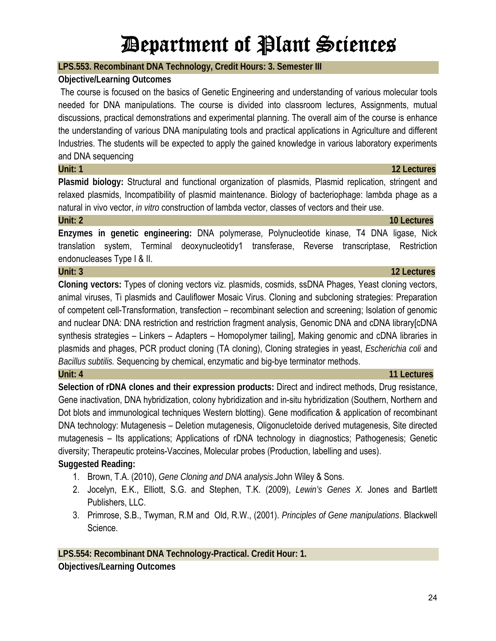### **LPS.553. Recombinant DNA Technology, Credit Hours: 3. Semester III**

### **Objective/Learning Outcomes**

The course is focused on the basics of Genetic Engineering and understanding of various molecular tools needed for DNA manipulations. The course is divided into classroom lectures, Assignments, mutual discussions, practical demonstrations and experimental planning. The overall aim of the course is enhance the understanding of various DNA manipulating tools and practical applications in Agriculture and different Industries. The students will be expected to apply the gained knowledge in various laboratory experiments and DNA sequencing

#### **Unit: 1 12 Lectures**

Plasmid biology: Structural and functional organization of plasmids, Plasmid replication, stringent and relaxed plasmids, Incompatibility of plasmid maintenance. Biology of bacteriophage: lambda phage as a natural in vivo vector, *in vitro* construction of lambda vector, classes of vectors and their use.

#### **Unit: 2 10 Lectures**

**Enzymes in genetic engineering:** DNA polymerase, Polynucleotide kinase, T4 DNA ligase, Nick translation system, Terminal deoxynucleotidy1 transferase, Reverse transcriptase, Restriction endonucleases Type I & II.

#### **Unit: 3 12 Lectures**

**Cloning vectors:** Types of cloning vectors viz. plasmids, cosmids, ssDNA Phages, Yeast cloning vectors, animal viruses, Ti plasmids and Cauliflower Mosaic Virus. Cloning and subcloning strategies: Preparation of competent cell-Transformation, transfection – recombinant selection and screening; Isolation of genomic and nuclear DNA: DNA restriction and restriction fragment analysis, Genomic DNA and cDNA library[cDNA synthesis strategies – Linkers – Adapters – Homopolymer tailing], Making genomic and cDNA libraries in plasmids and phages, PCR product cloning (TA cloning), Cloning strategies in yeast, *Escherichia coli* and *Bacillus subtilis.* Sequencing by chemical, enzymatic and big-bye terminator methods.

**Selection of rDNA clones and their expression products:** Direct and indirect methods, Drug resistance, Gene inactivation, DNA hybridization, colony hybridization and in-situ hybridization (Southern, Northern and Dot blots and immunological techniques Western blotting). Gene modification & application of recombinant DNA technology: Mutagenesis – Deletion mutagenesis, Oligonucletoide derived mutagenesis, Site directed mutagenesis – Its applications; Applications of rDNA technology in diagnostics; Pathogenesis; Genetic diversity; Therapeutic proteins-Vaccines, Molecular probes (Production, labelling and uses). **Suggested Reading:**

- 1. Brown, T.A. (2010), *Gene Cloning and DNA analysis*.John Wiley & Sons.
- 2. Jocelyn, E.K., Elliott, S.G. and Stephen, T.K. (2009), *Lewin's Genes X.* Jones and Bartlett Publishers, LLC.
- 3. Primrose, S.B., Twyman, R.M and Old, R.W., (2001). *Principles of Gene manipulations*. Blackwell Science.

**LPS.554: Recombinant DNA Technology-Practical. Credit Hour: 1. Objectives/Learning Outcomes** 

### **Unit: 4 11 Lectures**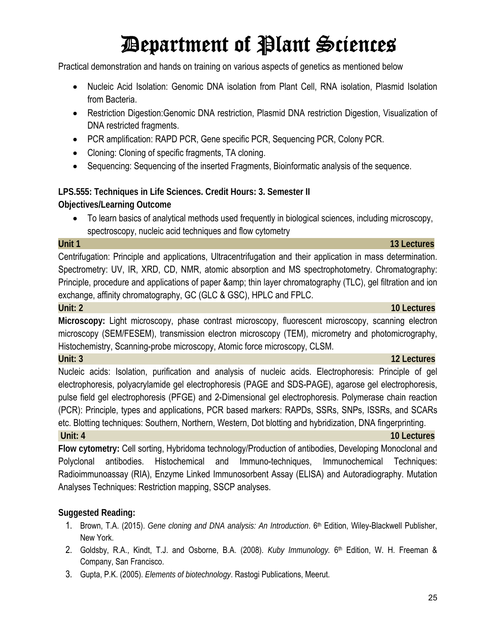Practical demonstration and hands on training on various aspects of genetics as mentioned below

- Nucleic Acid Isolation: Genomic DNA isolation from Plant Cell, RNA isolation, Plasmid Isolation from Bacteria.
- Restriction Digestion:Genomic DNA restriction, Plasmid DNA restriction Digestion, Visualization of DNA restricted fragments.
- PCR amplification: RAPD PCR, Gene specific PCR, Sequencing PCR, Colony PCR.
- Cloning: Cloning of specific fragments, TA cloning.
- Sequencing: Sequencing of the inserted Fragments, Bioinformatic analysis of the sequence.

**LPS.555: Techniques in Life Sciences. Credit Hours: 3. Semester II Objectives/Learning Outcome** 

 To learn basics of analytical methods used frequently in biological sciences, including microscopy, spectroscopy, nucleic acid techniques and flow cytometry

Centrifugation: Principle and applications, Ultracentrifugation and their application in mass determination. Spectrometry: UV, IR, XRD, CD, NMR, atomic absorption and MS spectrophotometry. Chromatography: Principle, procedure and applications of paper & amp; thin layer chromatography (TLC), gel filtration and ion exchange, affinity chromatography, GC (GLC & GSC), HPLC and FPLC.

#### **Unit: 2 10 Lectures**

**Microscopy:** Light microscopy, phase contrast microscopy, fluorescent microscopy, scanning electron microscopy (SEM/FESEM), transmission electron microscopy (TEM), micrometry and photomicrography, Histochemistry, Scanning-probe microscopy, Atomic force microscopy, CLSM.

Nucleic acids: Isolation, purification and analysis of nucleic acids. Electrophoresis: Principle of gel electrophoresis, polyacrylamide gel electrophoresis (PAGE and SDS-PAGE), agarose gel electrophoresis, pulse field gel electrophoresis (PFGE) and 2-Dimensional gel electrophoresis. Polymerase chain reaction (PCR): Principle, types and applications, PCR based markers: RAPDs, SSRs, SNPs, ISSRs, and SCARs etc. Blotting techniques: Southern, Northern, Western, Dot blotting and hybridization, DNA fingerprinting.

**Unit: 4** 10 Lectures **10 Lectures** 

**Flow cytometry:** Cell sorting, Hybridoma technology/Production of antibodies, Developing Monoclonal and Polyclonal antibodies. Histochemical and Immuno-techniques, Immunochemical Techniques: Radioimmunoassay (RIA), Enzyme Linked Immunosorbent Assay (ELISA) and Autoradiography. Mutation Analyses Techniques: Restriction mapping, SSCP analyses.

#### **Suggested Reading:**

- 1. Brown, T.A. (2015). *Gene cloning and DNA analysis: An Introduction*. 6th Edition, Wiley-Blackwell Publisher, New York.
- 2. Goldsby, R.A., Kindt, T.J. and Osborne, B.A. (2008). *Kuby Immunology.* 6th Edition, W. H. Freeman & Company, San Francisco.
- 3. Gupta, P.K. (2005). *Elements of biotechnology*. Rastogi Publications, Meerut.

#### **Unit 1 13 Lectures**

## **Unit: 3 12 Lectures**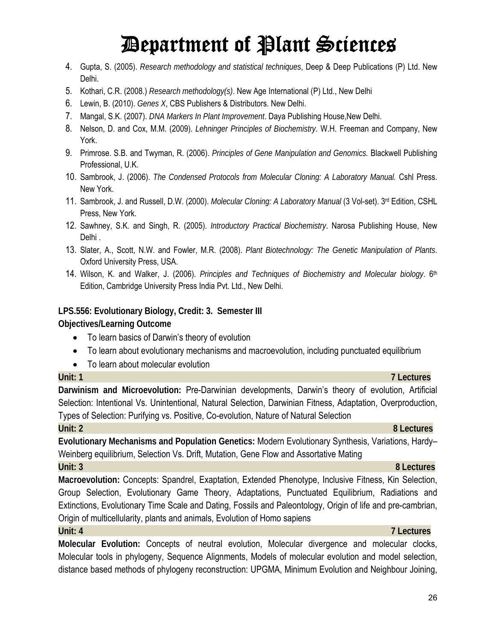- 4. Gupta, S. (2005). *Research methodology and statistical techniques*, Deep & Deep Publications (P) Ltd. New Delhi.
- 5. Kothari, C.R. (2008.) *Research methodology(s)*. New Age International (P) Ltd., New Delhi
- 6. Lewin, B. (2010). *Genes X*, CBS Publishers & Distributors. New Delhi.
- 7. Mangal, S.K. (2007). *DNA Markers In Plant Improvement*. Daya Publishing House,New Delhi.
- 8. Nelson, D. and Cox, M.M. (2009). *Lehninger Principles of Biochemistry*. W.H. Freeman and Company, New York.
- 9. Primrose. S.B. and Twyman, R. (2006). *Principles of Gene Manipulation and Genomics.* Blackwell Publishing Professional, U.K.
- 10. Sambrook, J. (2006). *The Condensed Protocols from Molecular Cloning: A Laboratory Manual.* Cshl Press. New York.
- 11. Sambrook, J. and Russell, D.W. (2000). *Molecular Cloning: A Laboratory Manual* (3 Vol-set). 3rd Edition, CSHL Press, New York.
- 12. Sawhney, S.K. and Singh, R. (2005). *Introductory Practical Biochemistry*. Narosa Publishing House, New Delhi .
- 13. Slater, A., Scott, N.W. and Fowler, M.R. (2008). *Plant Biotechnology: The Genetic Manipulation of Plants*. Oxford University Press, USA.
- 14. Wilson, K. and Walker, J. (2006). *Principles and Techniques of Biochemistry and Molecular biology*. 6th Edition, Cambridge University Press India Pvt. Ltd., New Delhi.

**LPS.556: Evolutionary Biology, Credit: 3. Semester III Objectives/Learning Outcome** 

- To learn basics of Darwin's theory of evolution
- To learn about evolutionary mechanisms and macroevolution, including punctuated equilibrium
- To learn about molecular evolution

#### **Unit: 1 7 Lectures**

**Darwinism and Microevolution:** Pre-Darwinian developments, Darwin's theory of evolution, Artificial Selection: Intentional Vs. Unintentional, Natural Selection, Darwinian Fitness, Adaptation, Overproduction, Types of Selection: Purifying vs. Positive, Co-evolution, Nature of Natural Selection

#### **Unit: 2 8 Lectures**

**Evolutionary Mechanisms and Population Genetics:** Modern Evolutionary Synthesis, Variations, Hardy– Weinberg equilibrium, Selection Vs. Drift, Mutation, Gene Flow and Assortative Mating

#### **Unit: 3 8 Lectures**

**Macroevolution:** Concepts: Spandrel, Exaptation, Extended Phenotype, Inclusive Fitness, Kin Selection, Group Selection, Evolutionary Game Theory, Adaptations, Punctuated Equilibrium, Radiations and Extinctions, Evolutionary Time Scale and Dating, Fossils and Paleontology, Origin of life and pre-cambrian, Origin of multicellularity, plants and animals, Evolution of Homo sapiens

### **Unit: 4 7 Lectures**

**Molecular Evolution:** Concepts of neutral evolution, Molecular divergence and molecular clocks, Molecular tools in phylogeny, Sequence Alignments, Models of molecular evolution and model selection, distance based methods of phylogeny reconstruction: UPGMA, Minimum Evolution and Neighbour Joining,

#### 26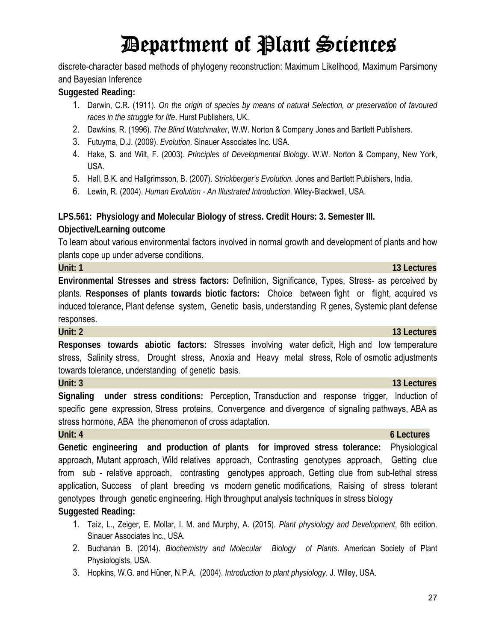discrete-character based methods of phylogeny reconstruction: Maximum Likelihood, Maximum Parsimony and Bayesian Inference

#### **Suggested Reading:**

- 1. Darwin, C.R. (1911). *On the origin of species by means of natural Selection, or preservation of favoured races in the struggle for life*. Hurst Publishers, UK.
- 2. Dawkins, R. (1996). *The Blind Watchmaker*, W.W. Norton & Company Jones and Bartlett Publishers.
- 3. Futuyma, D.J. (2009). *Evolution*. Sinauer Associates Inc. USA.
- 4. Hake, S. and Wilt, F. (2003). *Principles of Developmental Biology*. W.W. Norton & Company, New York, USA.
- 5. Hall, B.K. and Hallgrimsson, B. (2007). *Strickberger's Evolution.* Jones and Bartlett Publishers, India.
- 6. Lewin, R. (2004). *Human Evolution An Illustrated Introduction*. Wiley-Blackwell, USA.

**LPS.561: Physiology and Molecular Biology of stress. Credit Hours: 3. Semester III.** 

### **Objective/Learning outcome**

To learn about various environmental factors involved in normal growth and development of plants and how plants cope up under adverse conditions.

**Unit: 1 13 Lectures Environmental Stresses and stress factors:** Definition, Significance, Types, Stress- as perceived by plants. **Responses of plants towards biotic factors:** Choice between fight or flight, acquired vs induced tolerance, Plant defense system, Genetic basis, understanding R genes, Systemic plant defense responses.

#### **Unit: 2 13 Lectures**

**Responses towards abiotic factors:** Stresses involving water deficit, High and low temperature stress, Salinity stress, Drought stress, Anoxia and Heavy metal stress, Role of osmotic adjustments towards tolerance, understanding of genetic basis.

#### **Unit: 3** 13 Lectures

**Signaling under stress conditions:** Perception, Transduction and response trigger, Induction of specific gene expression, Stress proteins, Convergence and divergence of signaling pathways, ABA as stress hormone, ABA the phenomenon of cross adaptation.

#### **Unit: 4 6 Lectures**

**Genetic engineering and production of plants for improved stress tolerance:** Physiological approach, Mutant approach, Wild relatives approach, Contrasting genotypes approach, Getting clue from sub - relative approach, contrasting genotypes approach, Getting clue from sub-lethal stress application, Success of plant breeding vs modern genetic modifications, Raising of stress tolerant genotypes through genetic engineering. High throughput analysis techniques in stress biology **Suggested Reading:**

- 1. Taiz, L., Zeiger, E. Mollar, I. M. and Murphy, A. (2015). *Plant physiology and Development*, 6th edition. Sinauer Associates Inc., USA.
- 2. Buchanan B. (2014). *Biochemistry and Molecular Biology of Plants*. American Society of Plant Physiologists, USA.
- 3. Hopkins, W.G. and Hüner, N.P.A. (2004). *Introduction to plant physiology*. J. Wiley, USA.

### 27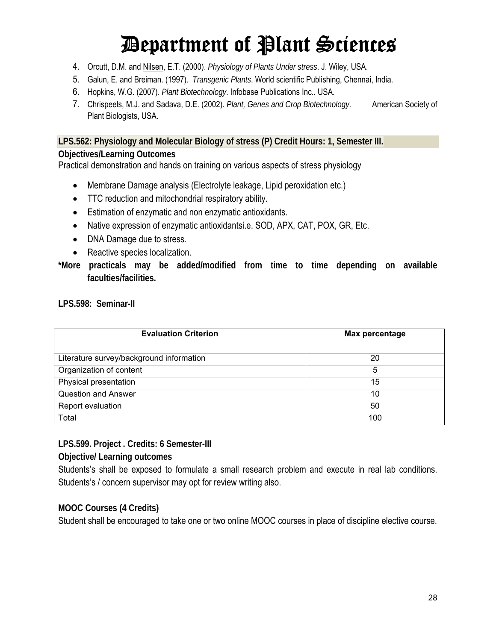- 4. Orcutt, D.M. and Nilsen, E.T. (2000). *Physiology of Plants Under stress*. J. Wiley, USA.
- 5. Galun, E. and Breiman. (1997). *Transgenic Plants*. World scientific Publishing, Chennai, India.
- 6. Hopkins, W.G. (2007). *Plant Biotechnology*. Infobase Publications Inc.. USA.
- 7. Chrispeels, M.J. and Sadava, D.E. (2002). *Plant, Genes and Crop Biotechnology*. American Society of Plant Biologists, USA.

**LPS.562: Physiology and Molecular Biology of stress (P) Credit Hours: 1, Semester III.**

#### **Objectives/Learning Outcomes**

Practical demonstration and hands on training on various aspects of stress physiology

- Membrane Damage analysis (Electrolyte leakage, Lipid peroxidation etc.)
- TTC reduction and mitochondrial respiratory ability.
- Estimation of enzymatic and non enzymatic antioxidants.
- Native expression of enzymatic antioxidantsi.e. SOD, APX, CAT, POX, GR, Etc.
- DNA Damage due to stress.
- Reactive species localization.
- **\*More practicals may be added/modified from time to time depending on available faculties/facilities.**

**LPS.598: Seminar-II** 

| <b>Evaluation Criterion</b>              | Max percentage |  |  |
|------------------------------------------|----------------|--|--|
| Literature survey/background information | 20             |  |  |
| Organization of content                  | 5              |  |  |
| Physical presentation                    | 15             |  |  |
| <b>Question and Answer</b>               | 10             |  |  |
| Report evaluation                        | 50             |  |  |
| Total                                    | 100            |  |  |

**LPS.599. Project . Credits: 6 Semester-III** 

**Objective/ Learning outcomes** 

Students's shall be exposed to formulate a small research problem and execute in real lab conditions. Students's / concern supervisor may opt for review writing also.

### **MOOC Courses (4 Credits)**

Student shall be encouraged to take one or two online MOOC courses in place of discipline elective course.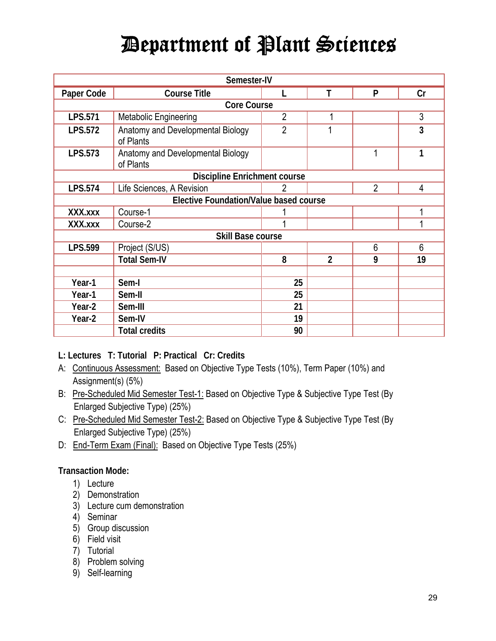| Semester-IV              |                                                |                |                |                |    |  |  |
|--------------------------|------------------------------------------------|----------------|----------------|----------------|----|--|--|
| Paper Code               | <b>Course Title</b>                            | L              | T              | P              | Cr |  |  |
|                          | <b>Core Course</b>                             |                |                |                |    |  |  |
| <b>LPS.571</b>           | Metabolic Engineering                          | $\overline{2}$ | 1              |                | 3  |  |  |
| <b>LPS.572</b>           | Anatomy and Developmental Biology<br>of Plants | $\overline{2}$ |                |                | 3  |  |  |
| LPS.573                  | Anatomy and Developmental Biology<br>of Plants |                |                | 1              | 1  |  |  |
|                          | <b>Discipline Enrichment course</b>            |                |                |                |    |  |  |
| <b>LPS.574</b>           | Life Sciences, A Revision                      | 2              |                | $\overline{2}$ | 4  |  |  |
|                          | <b>Elective Foundation/Value based course</b>  |                |                |                |    |  |  |
| XXX.xxx                  | Course-1                                       |                |                |                |    |  |  |
| XXX.xxx                  | Course-2                                       |                |                |                | 4  |  |  |
| <b>Skill Base course</b> |                                                |                |                |                |    |  |  |
| <b>LPS.599</b>           | Project (S/US)                                 |                |                | 6              | 6  |  |  |
|                          | <b>Total Sem-IV</b>                            | 8              | $\overline{2}$ | 9              | 19 |  |  |
|                          |                                                |                |                |                |    |  |  |
| Year-1                   | Sem-I                                          | 25             |                |                |    |  |  |
| Year-1                   | Sem-II                                         | 25             |                |                |    |  |  |
| Year-2                   | Sem-III                                        | 21             |                |                |    |  |  |
| Year-2                   | Sem-IV                                         | 19             |                |                |    |  |  |
|                          | <b>Total credits</b>                           | 90             |                |                |    |  |  |

- **L: Lectures T: Tutorial P: Practical Cr: Credits**
- A: Continuous Assessment: Based on Objective Type Tests (10%), Term Paper (10%) and Assignment(s) (5%)
- B: Pre-Scheduled Mid Semester Test-1: Based on Objective Type & Subjective Type Test (By Enlarged Subjective Type) (25%)
- C: Pre-Scheduled Mid Semester Test-2: Based on Objective Type & Subjective Type Test (By Enlarged Subjective Type) (25%)
- D: End-Term Exam (Final): Based on Objective Type Tests (25%)

#### **Transaction Mode:**

- 1) Lecture
- 2) Demonstration
- 3) Lecture cum demonstration
- 4) Seminar
- 5) Group discussion
- 6) Field visit
- 7) Tutorial
- 8) Problem solving
- 9) Self-learning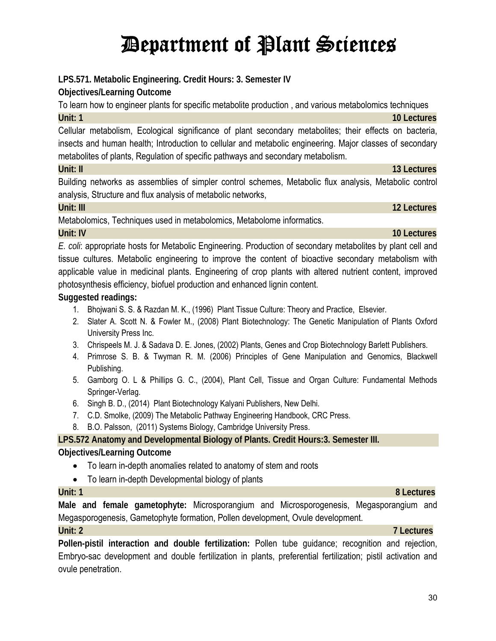**LPS.571. Metabolic Engineering. Credit Hours: 3. Semester IV** 

**Objectives/Learning Outcome** 

**Unit: 1 10 Lectures** Cellular metabolism, Ecological significance of plant secondary metabolites; their effects on bacteria, insects and human health; Introduction to cellular and metabolic engineering. Major classes of secondary metabolites of plants, Regulation of specific pathways and secondary metabolism.

To learn how to engineer plants for specific metabolite production , and various metabolomics techniques

**Unit: II 13 Lectures**

Building networks as assemblies of simpler control schemes, Metabolic flux analysis, Metabolic control analysis, Structure and flux analysis of metabolic networks,

**Unit: III 12 Lectures**

Metabolomics, Techniques used in metabolomics, Metabolome informatics.

#### **Unit: IV 10 Lectures**

*E. coli*: appropriate hosts for Metabolic Engineering. Production of secondary metabolites by plant cell and tissue cultures. Metabolic engineering to improve the content of bioactive secondary metabolism with applicable value in medicinal plants. Engineering of crop plants with altered nutrient content, improved photosynthesis efficiency, biofuel production and enhanced lignin content.

### **Suggested readings:**

- 1. Bhojwani S. S. & Razdan M. K., (1996) Plant Tissue Culture: Theory and Practice, Elsevier.
- 2. Slater A. Scott N. & Fowler M., (2008) Plant Biotechnology: The Genetic Manipulation of Plants Oxford University Press Inc.
- 3. Chrispeels M. J. & Sadava D. E. Jones, (2002) Plants, Genes and Crop Biotechnology Barlett Publishers.
- 4. Primrose S. B. & Twyman R. M. (2006) Principles of Gene Manipulation and Genomics, Blackwell Publishing.
- 5. Gamborg O. L & Phillips G. C., (2004), Plant Cell, Tissue and Organ Culture: Fundamental Methods Springer-Verlag.
- 6. Singh B. D., (2014) Plant Biotechnology Kalyani Publishers, New Delhi.
- 7. C.D. Smolke, (2009) The Metabolic Pathway Engineering Handbook, CRC Press.
- 8. B.O. Palsson, (2011) Systems Biology, Cambridge University Press.

### **LPS.572 Anatomy and Developmental Biology of Plants. Credit Hours:3. Semester III.**

### **Objectives/Learning Outcome**

- To learn in-depth anomalies related to anatomy of stem and roots
- To learn in-depth Developmental biology of plants

**Male and female gametophyte:** Microsporangium and Microsporogenesis, Megasporangium and Megasporogenesis, Gametophyte formation, Pollen development, Ovule development.

**Pollen-pistil interaction and double fertilization:** Pollen tube guidance; recognition and rejection, Embryo-sac development and double fertilization in plants, preferential fertilization; pistil activation and ovule penetration.

### **Unit: 1 8 Lectures**

## **Unit: 2 7 Lectures**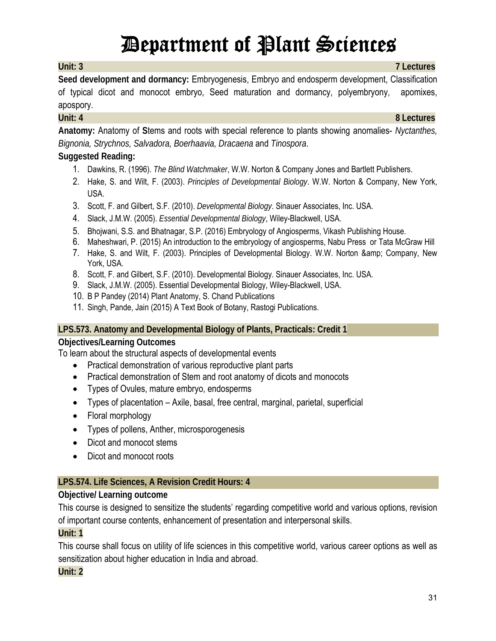**Seed development and dormancy:** Embryogenesis, Embryo and endosperm development, Classification of typical dicot and monocot embryo, Seed maturation and dormancy, polyembryony, apomixes, apospory.

**Anatomy:** Anatomy of **S**tems and roots with special reference to plants showing anomalies- *Nyctanthes, Bignonia, Strychnos, Salvadora, Boerhaavia, Dracaena* and *Tinospora*.

### **Suggested Reading:**

- 1. Dawkins, R. (1996). *The Blind Watchmaker*, W.W. Norton & Company Jones and Bartlett Publishers.
- 2. Hake, S. and Wilt, F. (2003). *Principles of Developmental Biology*. W.W. Norton & Company, New York, USA.
- 3. Scott, F. and Gilbert, S.F. (2010). *Developmental Biology*. Sinauer Associates, Inc. USA.
- 4. Slack, J.M.W. (2005). *Essential Developmental Biology*, Wiley-Blackwell, USA.
- 5. Bhojwani, S.S. and Bhatnagar, S.P. (2016) Embryology of Angiosperms, Vikash Publishing House.
- 6. Maheshwari, P. (2015) An introduction to the embryology of angiosperms, Nabu Press or Tata McGraw Hill
- 7. Hake, S. and Wilt, F. (2003). Principles of Developmental Biology. W.W. Norton & amp; Company, New York, USA.
- 8. Scott, F. and Gilbert, S.F. (2010). Developmental Biology. Sinauer Associates, Inc. USA.
- 9. Slack, J.M.W. (2005). Essential Developmental Biology, Wiley-Blackwell, USA.
- 10. B P Pandey (2014) Plant Anatomy, S. Chand Publications
- 11. Singh, Pande, Jain (2015) A Text Book of Botany, Rastogi Publications.

### **LPS.573. Anatomy and Developmental Biology of Plants, Practicals: Credit 1**

#### **Objectives/Learning Outcomes**

To learn about the structural aspects of developmental events

- Practical demonstration of various reproductive plant parts
- Practical demonstration of Stem and root anatomy of dicots and monocots
- Types of Ovules, mature embryo, endosperms
- Types of placentation Axile, basal, free central, marginal, parietal, superficial
- Floral morphology
- Types of pollens, Anther, microsporogenesis
- Dicot and monocot stems
- Dicot and monocot roots

### **LPS.574. Life Sciences, A Revision Credit Hours: 4**

### **Objective/ Learning outcome**

This course is designed to sensitize the students' regarding competitive world and various options, revision of important course contents, enhancement of presentation and interpersonal skills.

### **Unit: 1**

This course shall focus on utility of life sciences in this competitive world, various career options as well as sensitization about higher education in India and abroad.

### **Unit: 2**

#### **Unit: 3 7 Lectures**

**Unit: 4 8 Lectures**